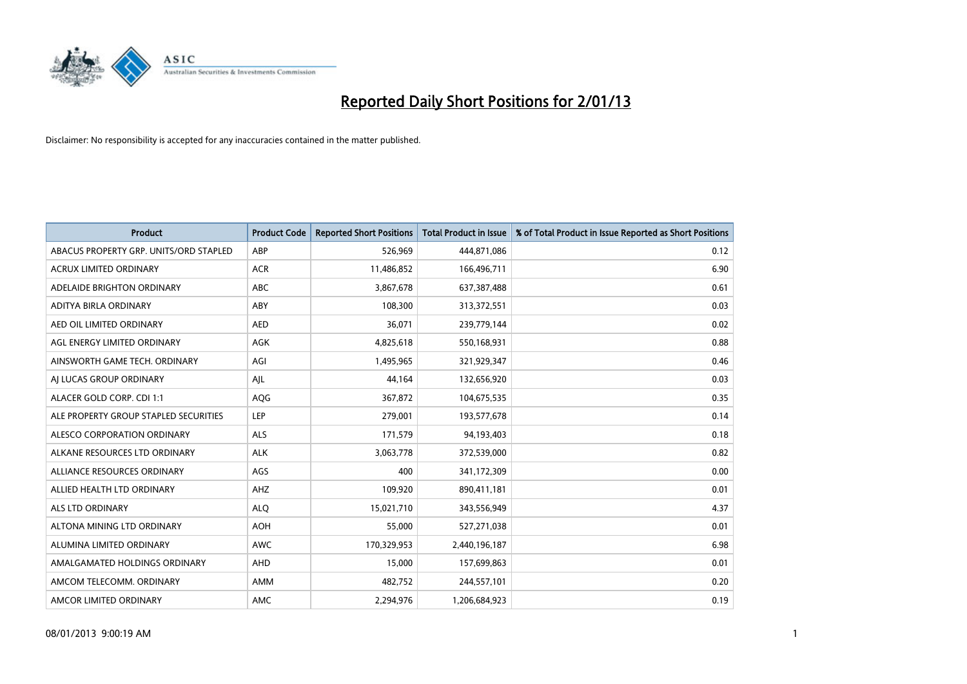

| <b>Product</b>                         | <b>Product Code</b> | <b>Reported Short Positions</b> | <b>Total Product in Issue</b> | % of Total Product in Issue Reported as Short Positions |
|----------------------------------------|---------------------|---------------------------------|-------------------------------|---------------------------------------------------------|
| ABACUS PROPERTY GRP. UNITS/ORD STAPLED | ABP                 | 526,969                         | 444,871,086                   | 0.12                                                    |
| ACRUX LIMITED ORDINARY                 | <b>ACR</b>          | 11,486,852                      | 166,496,711                   | 6.90                                                    |
| ADELAIDE BRIGHTON ORDINARY             | <b>ABC</b>          | 3,867,678                       | 637,387,488                   | 0.61                                                    |
| ADITYA BIRLA ORDINARY                  | ABY                 | 108,300                         | 313,372,551                   | 0.03                                                    |
| AED OIL LIMITED ORDINARY               | <b>AED</b>          | 36,071                          | 239,779,144                   | 0.02                                                    |
| AGL ENERGY LIMITED ORDINARY            | <b>AGK</b>          | 4,825,618                       | 550,168,931                   | 0.88                                                    |
| AINSWORTH GAME TECH. ORDINARY          | AGI                 | 1,495,965                       | 321,929,347                   | 0.46                                                    |
| AI LUCAS GROUP ORDINARY                | AJL                 | 44,164                          | 132,656,920                   | 0.03                                                    |
| ALACER GOLD CORP. CDI 1:1              | <b>AQG</b>          | 367,872                         | 104,675,535                   | 0.35                                                    |
| ALE PROPERTY GROUP STAPLED SECURITIES  | LEP                 | 279,001                         | 193,577,678                   | 0.14                                                    |
| ALESCO CORPORATION ORDINARY            | <b>ALS</b>          | 171,579                         | 94,193,403                    | 0.18                                                    |
| ALKANE RESOURCES LTD ORDINARY          | <b>ALK</b>          | 3,063,778                       | 372,539,000                   | 0.82                                                    |
| ALLIANCE RESOURCES ORDINARY            | AGS                 | 400                             | 341,172,309                   | 0.00                                                    |
| ALLIED HEALTH LTD ORDINARY             | AHZ                 | 109,920                         | 890,411,181                   | 0.01                                                    |
| ALS LTD ORDINARY                       | <b>ALQ</b>          | 15,021,710                      | 343,556,949                   | 4.37                                                    |
| ALTONA MINING LTD ORDINARY             | <b>AOH</b>          | 55,000                          | 527,271,038                   | 0.01                                                    |
| ALUMINA LIMITED ORDINARY               | <b>AWC</b>          | 170,329,953                     | 2,440,196,187                 | 6.98                                                    |
| AMALGAMATED HOLDINGS ORDINARY          | <b>AHD</b>          | 15,000                          | 157,699,863                   | 0.01                                                    |
| AMCOM TELECOMM, ORDINARY               | <b>AMM</b>          | 482,752                         | 244,557,101                   | 0.20                                                    |
| AMCOR LIMITED ORDINARY                 | <b>AMC</b>          | 2.294.976                       | 1,206,684,923                 | 0.19                                                    |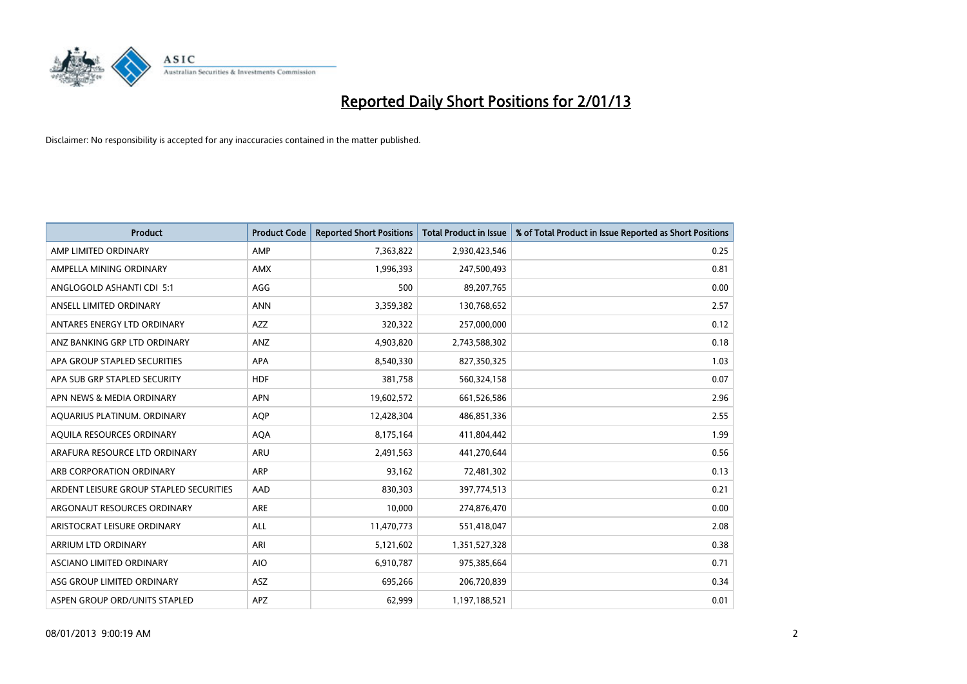

| <b>Product</b>                          | <b>Product Code</b> | <b>Reported Short Positions</b> | <b>Total Product in Issue</b> | % of Total Product in Issue Reported as Short Positions |
|-----------------------------------------|---------------------|---------------------------------|-------------------------------|---------------------------------------------------------|
| AMP LIMITED ORDINARY                    | AMP                 | 7,363,822                       | 2,930,423,546                 | 0.25                                                    |
| AMPELLA MINING ORDINARY                 | <b>AMX</b>          | 1,996,393                       | 247,500,493                   | 0.81                                                    |
| ANGLOGOLD ASHANTI CDI 5:1               | AGG                 | 500                             | 89,207,765                    | 0.00                                                    |
| ANSELL LIMITED ORDINARY                 | <b>ANN</b>          | 3,359,382                       | 130,768,652                   | 2.57                                                    |
| ANTARES ENERGY LTD ORDINARY             | <b>AZZ</b>          | 320,322                         | 257,000,000                   | 0.12                                                    |
| ANZ BANKING GRP LTD ORDINARY            | ANZ                 | 4,903,820                       | 2,743,588,302                 | 0.18                                                    |
| APA GROUP STAPLED SECURITIES            | <b>APA</b>          | 8,540,330                       | 827,350,325                   | 1.03                                                    |
| APA SUB GRP STAPLED SECURITY            | <b>HDF</b>          | 381,758                         | 560,324,158                   | 0.07                                                    |
| APN NEWS & MEDIA ORDINARY               | <b>APN</b>          | 19,602,572                      | 661,526,586                   | 2.96                                                    |
| AQUARIUS PLATINUM. ORDINARY             | <b>AOP</b>          | 12,428,304                      | 486,851,336                   | 2.55                                                    |
| AQUILA RESOURCES ORDINARY               | <b>AQA</b>          | 8,175,164                       | 411,804,442                   | 1.99                                                    |
| ARAFURA RESOURCE LTD ORDINARY           | <b>ARU</b>          | 2,491,563                       | 441,270,644                   | 0.56                                                    |
| ARB CORPORATION ORDINARY                | <b>ARP</b>          | 93,162                          | 72,481,302                    | 0.13                                                    |
| ARDENT LEISURE GROUP STAPLED SECURITIES | AAD                 | 830,303                         | 397,774,513                   | 0.21                                                    |
| ARGONAUT RESOURCES ORDINARY             | <b>ARE</b>          | 10,000                          | 274,876,470                   | 0.00                                                    |
| ARISTOCRAT LEISURE ORDINARY             | ALL                 | 11,470,773                      | 551,418,047                   | 2.08                                                    |
| ARRIUM LTD ORDINARY                     | ARI                 | 5,121,602                       | 1,351,527,328                 | 0.38                                                    |
| ASCIANO LIMITED ORDINARY                | <b>AIO</b>          | 6,910,787                       | 975,385,664                   | 0.71                                                    |
| ASG GROUP LIMITED ORDINARY              | <b>ASZ</b>          | 695,266                         | 206,720,839                   | 0.34                                                    |
| ASPEN GROUP ORD/UNITS STAPLED           | <b>APZ</b>          | 62.999                          | 1,197,188,521                 | 0.01                                                    |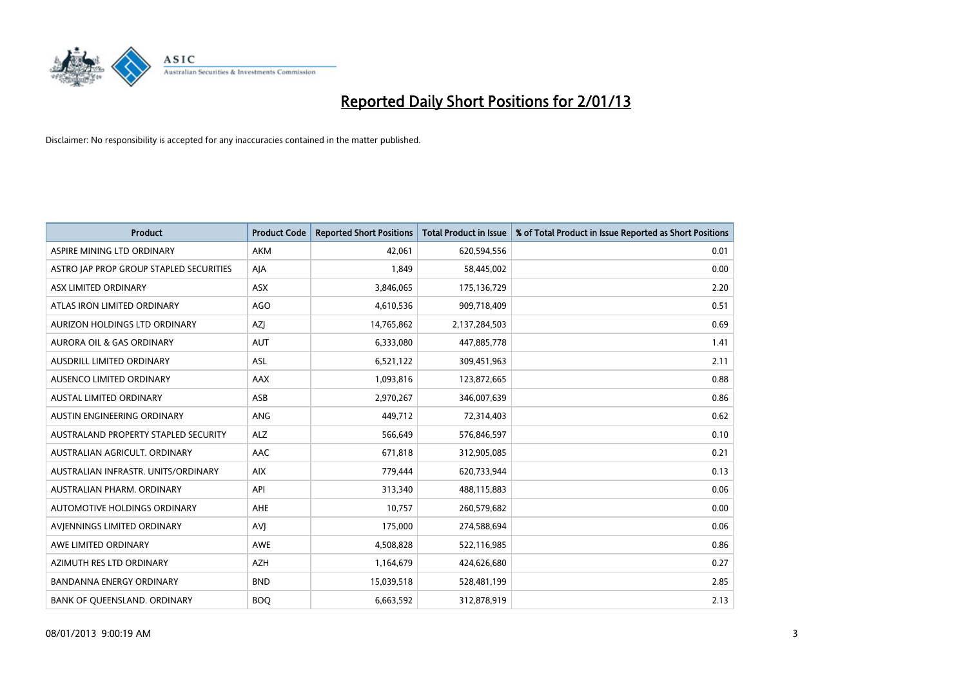

| <b>Product</b>                          | <b>Product Code</b> | <b>Reported Short Positions</b> | <b>Total Product in Issue</b> | % of Total Product in Issue Reported as Short Positions |
|-----------------------------------------|---------------------|---------------------------------|-------------------------------|---------------------------------------------------------|
| ASPIRE MINING LTD ORDINARY              | <b>AKM</b>          | 42,061                          | 620,594,556                   | 0.01                                                    |
| ASTRO JAP PROP GROUP STAPLED SECURITIES | AJA                 | 1,849                           | 58,445,002                    | 0.00                                                    |
| ASX LIMITED ORDINARY                    | <b>ASX</b>          | 3,846,065                       | 175,136,729                   | 2.20                                                    |
| ATLAS IRON LIMITED ORDINARY             | AGO                 | 4,610,536                       | 909,718,409                   | 0.51                                                    |
| AURIZON HOLDINGS LTD ORDINARY           | <b>AZI</b>          | 14,765,862                      | 2,137,284,503                 | 0.69                                                    |
| <b>AURORA OIL &amp; GAS ORDINARY</b>    | <b>AUT</b>          | 6,333,080                       | 447,885,778                   | 1.41                                                    |
| AUSDRILL LIMITED ORDINARY               | <b>ASL</b>          | 6,521,122                       | 309,451,963                   | 2.11                                                    |
| AUSENCO LIMITED ORDINARY                | AAX                 | 1,093,816                       | 123,872,665                   | 0.88                                                    |
| <b>AUSTAL LIMITED ORDINARY</b>          | ASB                 | 2,970,267                       | 346,007,639                   | 0.86                                                    |
| AUSTIN ENGINEERING ORDINARY             | ANG                 | 449,712                         | 72,314,403                    | 0.62                                                    |
| AUSTRALAND PROPERTY STAPLED SECURITY    | <b>ALZ</b>          | 566,649                         | 576,846,597                   | 0.10                                                    |
| AUSTRALIAN AGRICULT, ORDINARY           | AAC                 | 671,818                         | 312,905,085                   | 0.21                                                    |
| AUSTRALIAN INFRASTR. UNITS/ORDINARY     | <b>AIX</b>          | 779,444                         | 620,733,944                   | 0.13                                                    |
| AUSTRALIAN PHARM. ORDINARY              | API                 | 313,340                         | 488,115,883                   | 0.06                                                    |
| AUTOMOTIVE HOLDINGS ORDINARY            | <b>AHE</b>          | 10,757                          | 260,579,682                   | 0.00                                                    |
| AVIENNINGS LIMITED ORDINARY             | AVI                 | 175,000                         | 274,588,694                   | 0.06                                                    |
| AWE LIMITED ORDINARY                    | AWE                 | 4,508,828                       | 522,116,985                   | 0.86                                                    |
| AZIMUTH RES LTD ORDINARY                | <b>AZH</b>          | 1,164,679                       | 424,626,680                   | 0.27                                                    |
| <b>BANDANNA ENERGY ORDINARY</b>         | <b>BND</b>          | 15,039,518                      | 528,481,199                   | 2.85                                                    |
| BANK OF QUEENSLAND. ORDINARY            | <b>BOQ</b>          | 6,663,592                       | 312,878,919                   | 2.13                                                    |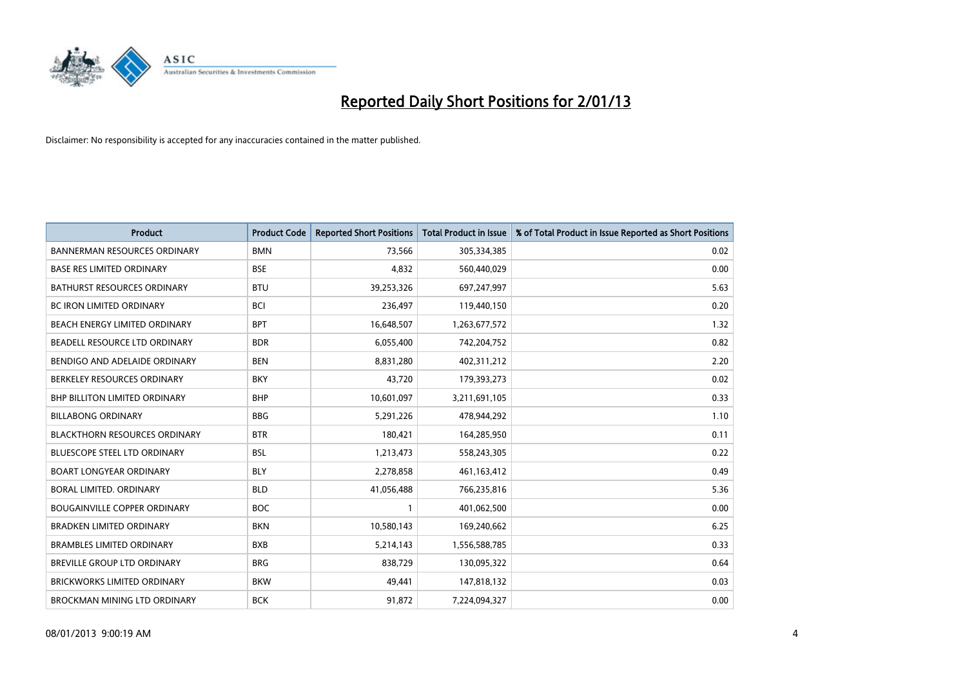

| <b>Product</b>                       | <b>Product Code</b> | <b>Reported Short Positions</b> | <b>Total Product in Issue</b> | % of Total Product in Issue Reported as Short Positions |
|--------------------------------------|---------------------|---------------------------------|-------------------------------|---------------------------------------------------------|
| <b>BANNERMAN RESOURCES ORDINARY</b>  | <b>BMN</b>          | 73,566                          | 305,334,385                   | 0.02                                                    |
| <b>BASE RES LIMITED ORDINARY</b>     | <b>BSE</b>          | 4,832                           | 560,440,029                   | 0.00                                                    |
| <b>BATHURST RESOURCES ORDINARY</b>   | <b>BTU</b>          | 39,253,326                      | 697,247,997                   | 5.63                                                    |
| BC IRON LIMITED ORDINARY             | <b>BCI</b>          | 236,497                         | 119,440,150                   | 0.20                                                    |
| <b>BEACH ENERGY LIMITED ORDINARY</b> | <b>BPT</b>          | 16,648,507                      | 1,263,677,572                 | 1.32                                                    |
| BEADELL RESOURCE LTD ORDINARY        | <b>BDR</b>          | 6,055,400                       | 742,204,752                   | 0.82                                                    |
| BENDIGO AND ADELAIDE ORDINARY        | <b>BEN</b>          | 8,831,280                       | 402,311,212                   | 2.20                                                    |
| BERKELEY RESOURCES ORDINARY          | <b>BKY</b>          | 43,720                          | 179,393,273                   | 0.02                                                    |
| BHP BILLITON LIMITED ORDINARY        | <b>BHP</b>          | 10,601,097                      | 3,211,691,105                 | 0.33                                                    |
| <b>BILLABONG ORDINARY</b>            | <b>BBG</b>          | 5,291,226                       | 478,944,292                   | 1.10                                                    |
| <b>BLACKTHORN RESOURCES ORDINARY</b> | <b>BTR</b>          | 180,421                         | 164,285,950                   | 0.11                                                    |
| <b>BLUESCOPE STEEL LTD ORDINARY</b>  | <b>BSL</b>          | 1,213,473                       | 558,243,305                   | 0.22                                                    |
| <b>BOART LONGYEAR ORDINARY</b>       | <b>BLY</b>          | 2,278,858                       | 461,163,412                   | 0.49                                                    |
| <b>BORAL LIMITED, ORDINARY</b>       | <b>BLD</b>          | 41,056,488                      | 766,235,816                   | 5.36                                                    |
| <b>BOUGAINVILLE COPPER ORDINARY</b>  | <b>BOC</b>          |                                 | 401,062,500                   | 0.00                                                    |
| <b>BRADKEN LIMITED ORDINARY</b>      | <b>BKN</b>          | 10,580,143                      | 169,240,662                   | 6.25                                                    |
| <b>BRAMBLES LIMITED ORDINARY</b>     | <b>BXB</b>          | 5,214,143                       | 1,556,588,785                 | 0.33                                                    |
| BREVILLE GROUP LTD ORDINARY          | <b>BRG</b>          | 838,729                         | 130,095,322                   | 0.64                                                    |
| <b>BRICKWORKS LIMITED ORDINARY</b>   | <b>BKW</b>          | 49,441                          | 147,818,132                   | 0.03                                                    |
| BROCKMAN MINING LTD ORDINARY         | <b>BCK</b>          | 91,872                          | 7,224,094,327                 | 0.00                                                    |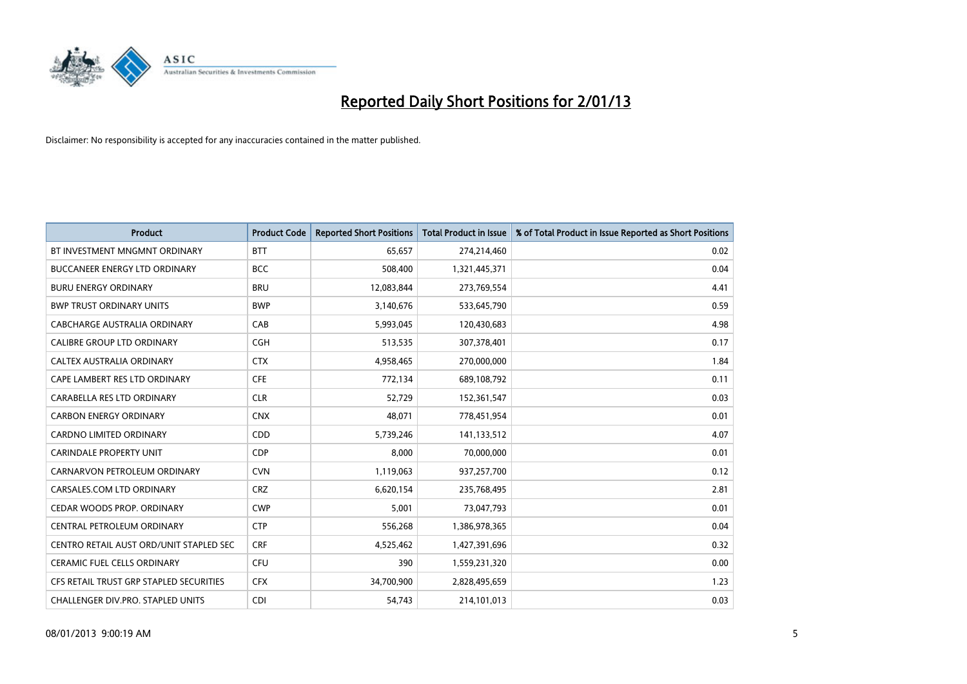

| <b>Product</b>                          | <b>Product Code</b> | <b>Reported Short Positions</b> | <b>Total Product in Issue</b> | % of Total Product in Issue Reported as Short Positions |
|-----------------------------------------|---------------------|---------------------------------|-------------------------------|---------------------------------------------------------|
| BT INVESTMENT MNGMNT ORDINARY           | <b>BTT</b>          | 65,657                          | 274,214,460                   | 0.02                                                    |
| <b>BUCCANEER ENERGY LTD ORDINARY</b>    | <b>BCC</b>          | 508,400                         | 1,321,445,371                 | 0.04                                                    |
| <b>BURU ENERGY ORDINARY</b>             | <b>BRU</b>          | 12,083,844                      | 273,769,554                   | 4.41                                                    |
| <b>BWP TRUST ORDINARY UNITS</b>         | <b>BWP</b>          | 3,140,676                       | 533,645,790                   | 0.59                                                    |
| CABCHARGE AUSTRALIA ORDINARY            | CAB                 | 5,993,045                       | 120,430,683                   | 4.98                                                    |
| <b>CALIBRE GROUP LTD ORDINARY</b>       | <b>CGH</b>          | 513,535                         | 307,378,401                   | 0.17                                                    |
| CALTEX AUSTRALIA ORDINARY               | <b>CTX</b>          | 4,958,465                       | 270,000,000                   | 1.84                                                    |
| CAPE LAMBERT RES LTD ORDINARY           | <b>CFE</b>          | 772,134                         | 689,108,792                   | 0.11                                                    |
| CARABELLA RES LTD ORDINARY              | <b>CLR</b>          | 52,729                          | 152,361,547                   | 0.03                                                    |
| <b>CARBON ENERGY ORDINARY</b>           | <b>CNX</b>          | 48,071                          | 778,451,954                   | 0.01                                                    |
| CARDNO LIMITED ORDINARY                 | CDD                 | 5,739,246                       | 141,133,512                   | 4.07                                                    |
| <b>CARINDALE PROPERTY UNIT</b>          | <b>CDP</b>          | 8,000                           | 70,000,000                    | 0.01                                                    |
| CARNARVON PETROLEUM ORDINARY            | <b>CVN</b>          | 1,119,063                       | 937,257,700                   | 0.12                                                    |
| CARSALES.COM LTD ORDINARY               | <b>CRZ</b>          | 6,620,154                       | 235,768,495                   | 2.81                                                    |
| CEDAR WOODS PROP. ORDINARY              | <b>CWP</b>          | 5,001                           | 73,047,793                    | 0.01                                                    |
| CENTRAL PETROLEUM ORDINARY              | <b>CTP</b>          | 556,268                         | 1,386,978,365                 | 0.04                                                    |
| CENTRO RETAIL AUST ORD/UNIT STAPLED SEC | <b>CRF</b>          | 4,525,462                       | 1,427,391,696                 | 0.32                                                    |
| <b>CERAMIC FUEL CELLS ORDINARY</b>      | <b>CFU</b>          | 390                             | 1,559,231,320                 | 0.00                                                    |
| CFS RETAIL TRUST GRP STAPLED SECURITIES | <b>CFX</b>          | 34,700,900                      | 2,828,495,659                 | 1.23                                                    |
| CHALLENGER DIV.PRO. STAPLED UNITS       | CDI                 | 54,743                          | 214,101,013                   | 0.03                                                    |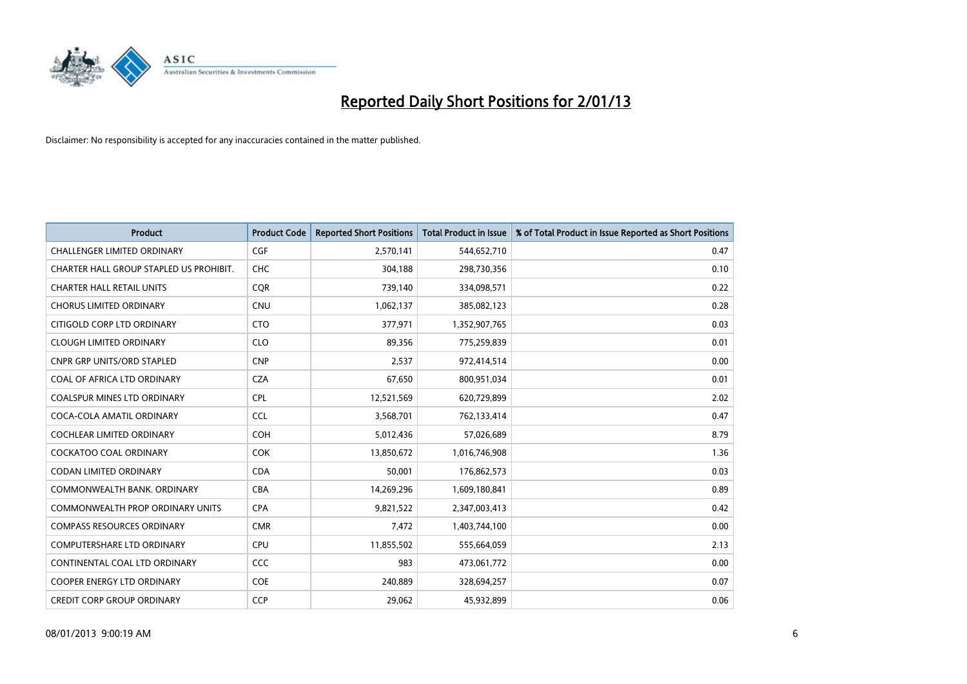

| <b>Product</b>                          | <b>Product Code</b> | <b>Reported Short Positions</b> | <b>Total Product in Issue</b> | % of Total Product in Issue Reported as Short Positions |
|-----------------------------------------|---------------------|---------------------------------|-------------------------------|---------------------------------------------------------|
| <b>CHALLENGER LIMITED ORDINARY</b>      | <b>CGF</b>          | 2,570,141                       | 544,652,710                   | 0.47                                                    |
| CHARTER HALL GROUP STAPLED US PROHIBIT. | <b>CHC</b>          | 304,188                         | 298,730,356                   | 0.10                                                    |
| <b>CHARTER HALL RETAIL UNITS</b>        | <b>COR</b>          | 739,140                         | 334,098,571                   | 0.22                                                    |
| <b>CHORUS LIMITED ORDINARY</b>          | <b>CNU</b>          | 1,062,137                       | 385,082,123                   | 0.28                                                    |
| CITIGOLD CORP LTD ORDINARY              | <b>CTO</b>          | 377,971                         | 1,352,907,765                 | 0.03                                                    |
| <b>CLOUGH LIMITED ORDINARY</b>          | <b>CLO</b>          | 89,356                          | 775,259,839                   | 0.01                                                    |
| <b>CNPR GRP UNITS/ORD STAPLED</b>       | <b>CNP</b>          | 2,537                           | 972,414,514                   | 0.00                                                    |
| COAL OF AFRICA LTD ORDINARY             | <b>CZA</b>          | 67,650                          | 800,951,034                   | 0.01                                                    |
| <b>COALSPUR MINES LTD ORDINARY</b>      | <b>CPL</b>          | 12,521,569                      | 620,729,899                   | 2.02                                                    |
| COCA-COLA AMATIL ORDINARY               | <b>CCL</b>          | 3,568,701                       | 762,133,414                   | 0.47                                                    |
| <b>COCHLEAR LIMITED ORDINARY</b>        | <b>COH</b>          | 5,012,436                       | 57,026,689                    | 8.79                                                    |
| COCKATOO COAL ORDINARY                  | <b>COK</b>          | 13,850,672                      | 1,016,746,908                 | 1.36                                                    |
| <b>CODAN LIMITED ORDINARY</b>           | <b>CDA</b>          | 50,001                          | 176,862,573                   | 0.03                                                    |
| COMMONWEALTH BANK, ORDINARY             | <b>CBA</b>          | 14,269,296                      | 1,609,180,841                 | 0.89                                                    |
| <b>COMMONWEALTH PROP ORDINARY UNITS</b> | <b>CPA</b>          | 9,821,522                       | 2,347,003,413                 | 0.42                                                    |
| <b>COMPASS RESOURCES ORDINARY</b>       | <b>CMR</b>          | 7,472                           | 1,403,744,100                 | 0.00                                                    |
| COMPUTERSHARE LTD ORDINARY              | <b>CPU</b>          | 11,855,502                      | 555,664,059                   | 2.13                                                    |
| CONTINENTAL COAL LTD ORDINARY           | CCC                 | 983                             | 473,061,772                   | 0.00                                                    |
| <b>COOPER ENERGY LTD ORDINARY</b>       | <b>COE</b>          | 240,889                         | 328,694,257                   | 0.07                                                    |
| <b>CREDIT CORP GROUP ORDINARY</b>       | <b>CCP</b>          | 29,062                          | 45,932,899                    | 0.06                                                    |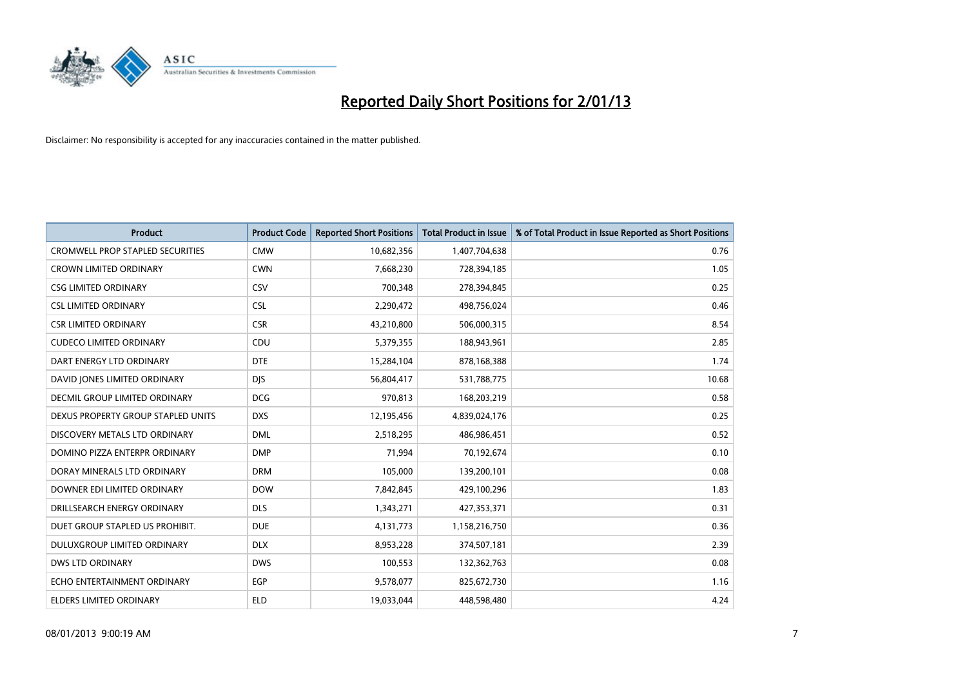

| <b>Product</b>                          | <b>Product Code</b> | <b>Reported Short Positions</b> | <b>Total Product in Issue</b> | % of Total Product in Issue Reported as Short Positions |
|-----------------------------------------|---------------------|---------------------------------|-------------------------------|---------------------------------------------------------|
| <b>CROMWELL PROP STAPLED SECURITIES</b> | <b>CMW</b>          | 10,682,356                      | 1,407,704,638                 | 0.76                                                    |
| <b>CROWN LIMITED ORDINARY</b>           | <b>CWN</b>          | 7,668,230                       | 728,394,185                   | 1.05                                                    |
| <b>CSG LIMITED ORDINARY</b>             | CSV                 | 700,348                         | 278,394,845                   | 0.25                                                    |
| <b>CSL LIMITED ORDINARY</b>             | <b>CSL</b>          | 2,290,472                       | 498,756,024                   | 0.46                                                    |
| <b>CSR LIMITED ORDINARY</b>             | <b>CSR</b>          | 43,210,800                      | 506,000,315                   | 8.54                                                    |
| <b>CUDECO LIMITED ORDINARY</b>          | CDU                 | 5,379,355                       | 188,943,961                   | 2.85                                                    |
| DART ENERGY LTD ORDINARY                | <b>DTE</b>          | 15,284,104                      | 878,168,388                   | 1.74                                                    |
| DAVID JONES LIMITED ORDINARY            | <b>DIS</b>          | 56,804,417                      | 531,788,775                   | 10.68                                                   |
| <b>DECMIL GROUP LIMITED ORDINARY</b>    | <b>DCG</b>          | 970.813                         | 168,203,219                   | 0.58                                                    |
| DEXUS PROPERTY GROUP STAPLED UNITS      | <b>DXS</b>          | 12,195,456                      | 4,839,024,176                 | 0.25                                                    |
| DISCOVERY METALS LTD ORDINARY           | <b>DML</b>          | 2,518,295                       | 486,986,451                   | 0.52                                                    |
| DOMINO PIZZA ENTERPR ORDINARY           | <b>DMP</b>          | 71,994                          | 70,192,674                    | 0.10                                                    |
| DORAY MINERALS LTD ORDINARY             | <b>DRM</b>          | 105,000                         | 139,200,101                   | 0.08                                                    |
| DOWNER EDI LIMITED ORDINARY             | <b>DOW</b>          | 7,842,845                       | 429,100,296                   | 1.83                                                    |
| DRILLSEARCH ENERGY ORDINARY             | <b>DLS</b>          | 1,343,271                       | 427,353,371                   | 0.31                                                    |
| DUET GROUP STAPLED US PROHIBIT.         | <b>DUE</b>          | 4,131,773                       | 1,158,216,750                 | 0.36                                                    |
| DULUXGROUP LIMITED ORDINARY             | <b>DLX</b>          | 8,953,228                       | 374,507,181                   | 2.39                                                    |
| <b>DWS LTD ORDINARY</b>                 | <b>DWS</b>          | 100,553                         | 132,362,763                   | 0.08                                                    |
| ECHO ENTERTAINMENT ORDINARY             | <b>EGP</b>          | 9,578,077                       | 825,672,730                   | 1.16                                                    |
| ELDERS LIMITED ORDINARY                 | <b>ELD</b>          | 19,033,044                      | 448,598,480                   | 4.24                                                    |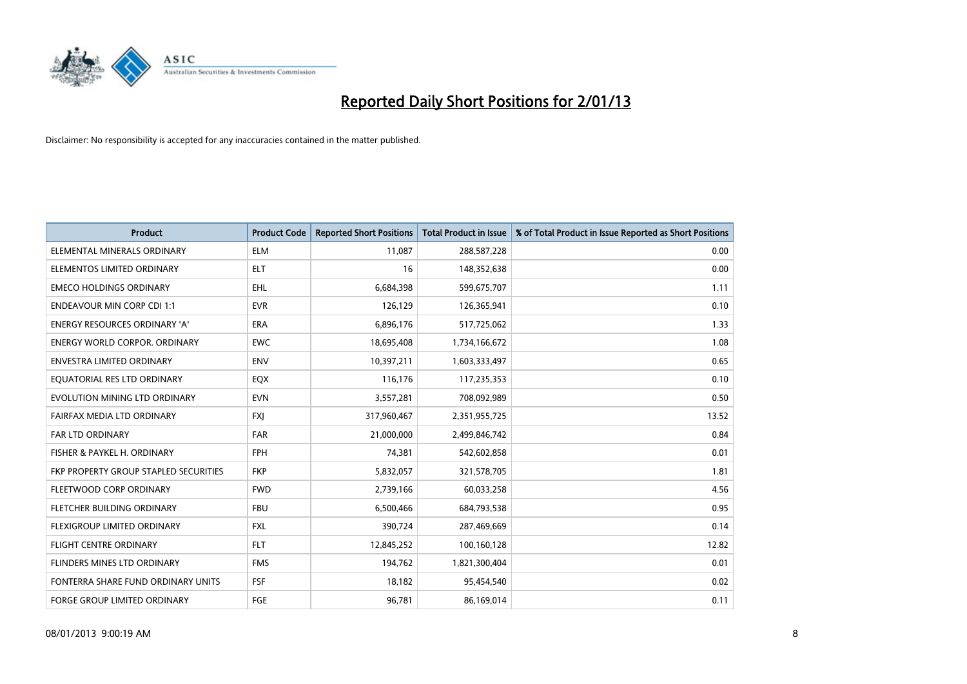

| <b>Product</b>                        | <b>Product Code</b> | <b>Reported Short Positions</b> | <b>Total Product in Issue</b> | % of Total Product in Issue Reported as Short Positions |
|---------------------------------------|---------------------|---------------------------------|-------------------------------|---------------------------------------------------------|
| ELEMENTAL MINERALS ORDINARY           | <b>ELM</b>          | 11,087                          | 288,587,228                   | 0.00                                                    |
| ELEMENTOS LIMITED ORDINARY            | <b>ELT</b>          | 16                              | 148,352,638                   | 0.00                                                    |
| <b>EMECO HOLDINGS ORDINARY</b>        | <b>EHL</b>          | 6,684,398                       | 599,675,707                   | 1.11                                                    |
| <b>ENDEAVOUR MIN CORP CDI 1:1</b>     | <b>EVR</b>          | 126,129                         | 126,365,941                   | 0.10                                                    |
| <b>ENERGY RESOURCES ORDINARY 'A'</b>  | <b>ERA</b>          | 6,896,176                       | 517,725,062                   | 1.33                                                    |
| <b>ENERGY WORLD CORPOR, ORDINARY</b>  | <b>EWC</b>          | 18,695,408                      | 1,734,166,672                 | 1.08                                                    |
| ENVESTRA LIMITED ORDINARY             | <b>ENV</b>          | 10,397,211                      | 1,603,333,497                 | 0.65                                                    |
| EQUATORIAL RES LTD ORDINARY           | <b>EQX</b>          | 116,176                         | 117,235,353                   | 0.10                                                    |
| EVOLUTION MINING LTD ORDINARY         | <b>EVN</b>          | 3,557,281                       | 708,092,989                   | 0.50                                                    |
| FAIRFAX MEDIA LTD ORDINARY            | <b>FXI</b>          | 317,960,467                     | 2,351,955,725                 | 13.52                                                   |
| FAR LTD ORDINARY                      | <b>FAR</b>          | 21,000,000                      | 2,499,846,742                 | 0.84                                                    |
| FISHER & PAYKEL H. ORDINARY           | <b>FPH</b>          | 74,381                          | 542,602,858                   | 0.01                                                    |
| FKP PROPERTY GROUP STAPLED SECURITIES | <b>FKP</b>          | 5,832,057                       | 321,578,705                   | 1.81                                                    |
| FLEETWOOD CORP ORDINARY               | <b>FWD</b>          | 2,739,166                       | 60,033,258                    | 4.56                                                    |
| FLETCHER BUILDING ORDINARY            | <b>FBU</b>          | 6,500,466                       | 684,793,538                   | 0.95                                                    |
| FLEXIGROUP LIMITED ORDINARY           | <b>FXL</b>          | 390,724                         | 287,469,669                   | 0.14                                                    |
| FLIGHT CENTRE ORDINARY                | <b>FLT</b>          | 12,845,252                      | 100,160,128                   | 12.82                                                   |
| FLINDERS MINES LTD ORDINARY           | <b>FMS</b>          | 194,762                         | 1,821,300,404                 | 0.01                                                    |
| FONTERRA SHARE FUND ORDINARY UNITS    | <b>FSF</b>          | 18,182                          | 95,454,540                    | 0.02                                                    |
| FORGE GROUP LIMITED ORDINARY          | FGE                 | 96,781                          | 86,169,014                    | 0.11                                                    |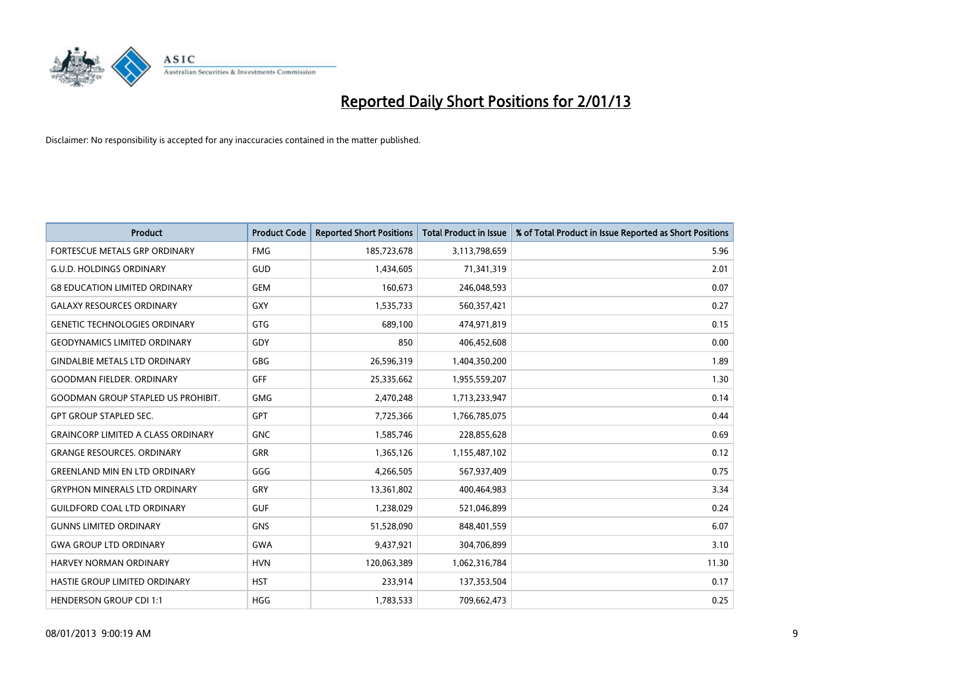

| <b>Product</b>                            | <b>Product Code</b> | <b>Reported Short Positions</b> | <b>Total Product in Issue</b> | % of Total Product in Issue Reported as Short Positions |
|-------------------------------------------|---------------------|---------------------------------|-------------------------------|---------------------------------------------------------|
| <b>FORTESCUE METALS GRP ORDINARY</b>      | <b>FMG</b>          | 185,723,678                     | 3,113,798,659                 | 5.96                                                    |
| <b>G.U.D. HOLDINGS ORDINARY</b>           | GUD                 | 1,434,605                       | 71,341,319                    | 2.01                                                    |
| <b>G8 EDUCATION LIMITED ORDINARY</b>      | <b>GEM</b>          | 160,673                         | 246,048,593                   | 0.07                                                    |
| <b>GALAXY RESOURCES ORDINARY</b>          | <b>GXY</b>          | 1,535,733                       | 560,357,421                   | 0.27                                                    |
| <b>GENETIC TECHNOLOGIES ORDINARY</b>      | <b>GTG</b>          | 689.100                         | 474,971,819                   | 0.15                                                    |
| GEODYNAMICS LIMITED ORDINARY              | GDY                 | 850                             | 406,452,608                   | 0.00                                                    |
| <b>GINDALBIE METALS LTD ORDINARY</b>      | <b>GBG</b>          | 26,596,319                      | 1,404,350,200                 | 1.89                                                    |
| <b>GOODMAN FIELDER, ORDINARY</b>          | GFF                 | 25,335,662                      | 1,955,559,207                 | 1.30                                                    |
| <b>GOODMAN GROUP STAPLED US PROHIBIT.</b> | <b>GMG</b>          | 2,470,248                       | 1,713,233,947                 | 0.14                                                    |
| <b>GPT GROUP STAPLED SEC.</b>             | <b>GPT</b>          | 7,725,366                       | 1,766,785,075                 | 0.44                                                    |
| <b>GRAINCORP LIMITED A CLASS ORDINARY</b> | <b>GNC</b>          | 1,585,746                       | 228,855,628                   | 0.69                                                    |
| <b>GRANGE RESOURCES. ORDINARY</b>         | <b>GRR</b>          | 1,365,126                       | 1,155,487,102                 | 0.12                                                    |
| <b>GREENLAND MIN EN LTD ORDINARY</b>      | GGG                 | 4,266,505                       | 567,937,409                   | 0.75                                                    |
| <b>GRYPHON MINERALS LTD ORDINARY</b>      | GRY                 | 13,361,802                      | 400,464,983                   | 3.34                                                    |
| <b>GUILDFORD COAL LTD ORDINARY</b>        | <b>GUF</b>          | 1,238,029                       | 521,046,899                   | 0.24                                                    |
| <b>GUNNS LIMITED ORDINARY</b>             | <b>GNS</b>          | 51,528,090                      | 848,401,559                   | 6.07                                                    |
| <b>GWA GROUP LTD ORDINARY</b>             | GWA                 | 9,437,921                       | 304,706,899                   | 3.10                                                    |
| HARVEY NORMAN ORDINARY                    | <b>HVN</b>          | 120,063,389                     | 1,062,316,784                 | 11.30                                                   |
| HASTIE GROUP LIMITED ORDINARY             | <b>HST</b>          | 233,914                         | 137,353,504                   | 0.17                                                    |
| <b>HENDERSON GROUP CDI 1:1</b>            | <b>HGG</b>          | 1,783,533                       | 709,662,473                   | 0.25                                                    |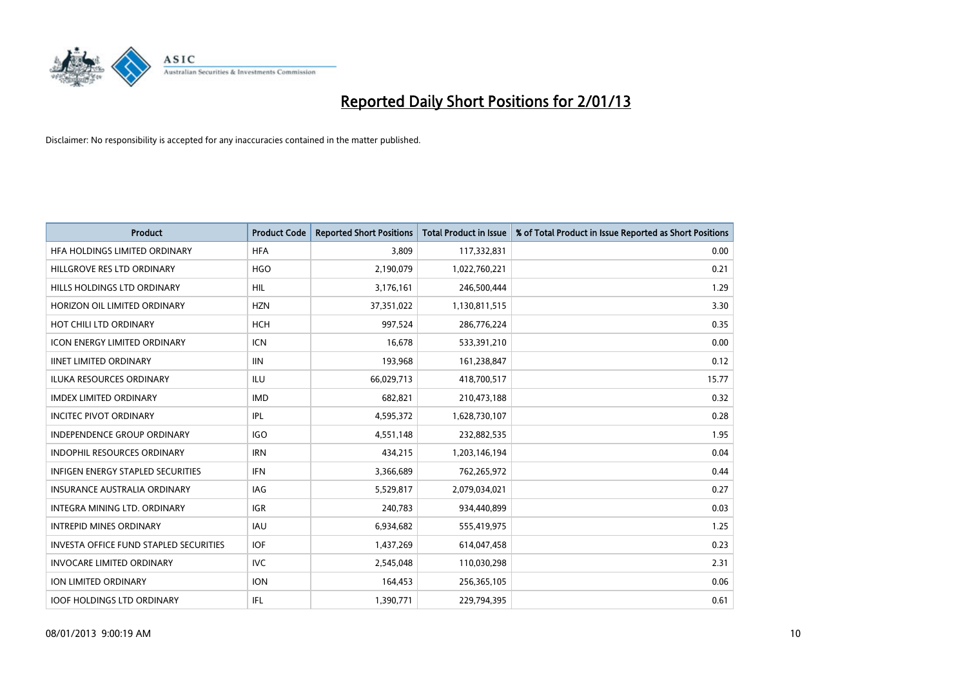

| <b>Product</b>                                | <b>Product Code</b> | <b>Reported Short Positions</b> | <b>Total Product in Issue</b> | % of Total Product in Issue Reported as Short Positions |
|-----------------------------------------------|---------------------|---------------------------------|-------------------------------|---------------------------------------------------------|
| HFA HOLDINGS LIMITED ORDINARY                 | <b>HFA</b>          | 3,809                           | 117,332,831                   | 0.00                                                    |
| HILLGROVE RES LTD ORDINARY                    | <b>HGO</b>          | 2,190,079                       | 1,022,760,221                 | 0.21                                                    |
| HILLS HOLDINGS LTD ORDINARY                   | <b>HIL</b>          | 3,176,161                       | 246,500,444                   | 1.29                                                    |
| HORIZON OIL LIMITED ORDINARY                  | <b>HZN</b>          | 37,351,022                      | 1,130,811,515                 | 3.30                                                    |
| HOT CHILI LTD ORDINARY                        | <b>HCH</b>          | 997,524                         | 286,776,224                   | 0.35                                                    |
| <b>ICON ENERGY LIMITED ORDINARY</b>           | <b>ICN</b>          | 16,678                          | 533,391,210                   | 0.00                                                    |
| <b>IINET LIMITED ORDINARY</b>                 | <b>IIN</b>          | 193,968                         | 161,238,847                   | 0.12                                                    |
| ILUKA RESOURCES ORDINARY                      | ILU                 | 66,029,713                      | 418,700,517                   | 15.77                                                   |
| <b>IMDEX LIMITED ORDINARY</b>                 | <b>IMD</b>          | 682,821                         | 210,473,188                   | 0.32                                                    |
| <b>INCITEC PIVOT ORDINARY</b>                 | IPL                 | 4,595,372                       | 1,628,730,107                 | 0.28                                                    |
| INDEPENDENCE GROUP ORDINARY                   | <b>IGO</b>          | 4,551,148                       | 232,882,535                   | 1.95                                                    |
| <b>INDOPHIL RESOURCES ORDINARY</b>            | <b>IRN</b>          | 434,215                         | 1,203,146,194                 | 0.04                                                    |
| INFIGEN ENERGY STAPLED SECURITIES             | <b>IFN</b>          | 3,366,689                       | 762,265,972                   | 0.44                                                    |
| <b>INSURANCE AUSTRALIA ORDINARY</b>           | IAG                 | 5,529,817                       | 2,079,034,021                 | 0.27                                                    |
| <b>INTEGRA MINING LTD, ORDINARY</b>           | <b>IGR</b>          | 240,783                         | 934,440,899                   | 0.03                                                    |
| <b>INTREPID MINES ORDINARY</b>                | <b>IAU</b>          | 6,934,682                       | 555,419,975                   | 1.25                                                    |
| <b>INVESTA OFFICE FUND STAPLED SECURITIES</b> | <b>IOF</b>          | 1,437,269                       | 614,047,458                   | 0.23                                                    |
| <b>INVOCARE LIMITED ORDINARY</b>              | IVC                 | 2,545,048                       | 110,030,298                   | 2.31                                                    |
| <b>ION LIMITED ORDINARY</b>                   | <b>ION</b>          | 164,453                         | 256,365,105                   | 0.06                                                    |
| <b>IOOF HOLDINGS LTD ORDINARY</b>             | <b>IFL</b>          | 1,390,771                       | 229,794,395                   | 0.61                                                    |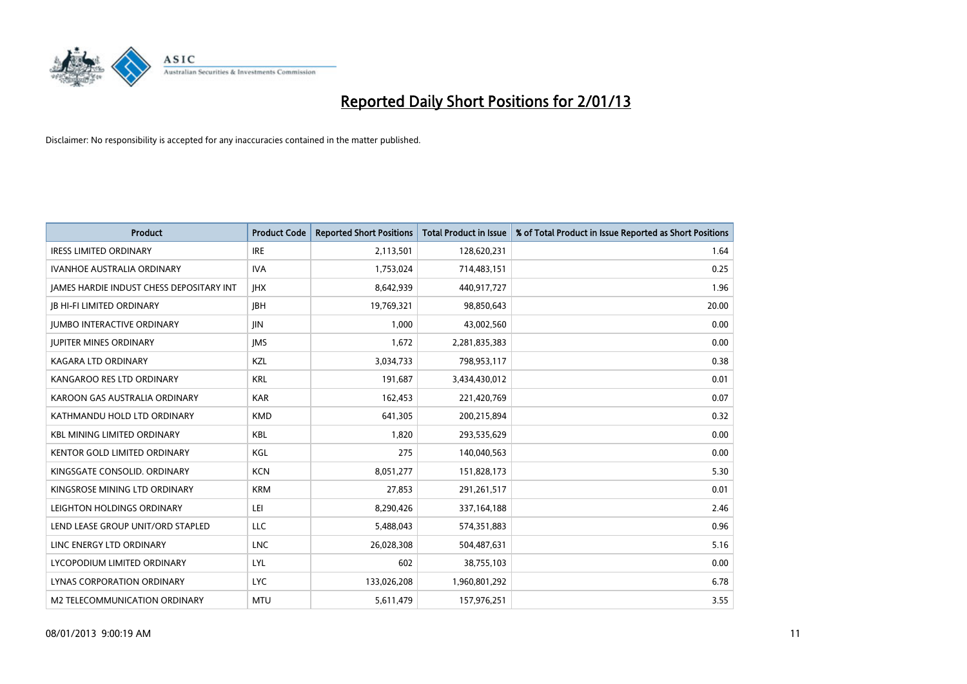

| <b>Product</b>                                  | <b>Product Code</b> | <b>Reported Short Positions</b> | <b>Total Product in Issue</b> | % of Total Product in Issue Reported as Short Positions |
|-------------------------------------------------|---------------------|---------------------------------|-------------------------------|---------------------------------------------------------|
| <b>IRESS LIMITED ORDINARY</b>                   | <b>IRE</b>          | 2,113,501                       | 128,620,231                   | 1.64                                                    |
| <b>IVANHOE AUSTRALIA ORDINARY</b>               | <b>IVA</b>          | 1,753,024                       | 714,483,151                   | 0.25                                                    |
| <b>JAMES HARDIE INDUST CHESS DEPOSITARY INT</b> | <b>IHX</b>          | 8,642,939                       | 440,917,727                   | 1.96                                                    |
| <b>IB HI-FI LIMITED ORDINARY</b>                | <b>IBH</b>          | 19,769,321                      | 98,850,643                    | 20.00                                                   |
| <b>JUMBO INTERACTIVE ORDINARY</b>               | <b>JIN</b>          | 1,000                           | 43,002,560                    | 0.00                                                    |
| <b>JUPITER MINES ORDINARY</b>                   | <b>IMS</b>          | 1,672                           | 2,281,835,383                 | 0.00                                                    |
| KAGARA LTD ORDINARY                             | KZL                 | 3,034,733                       | 798,953,117                   | 0.38                                                    |
| KANGAROO RES LTD ORDINARY                       | <b>KRL</b>          | 191,687                         | 3,434,430,012                 | 0.01                                                    |
| KAROON GAS AUSTRALIA ORDINARY                   | <b>KAR</b>          | 162,453                         | 221,420,769                   | 0.07                                                    |
| KATHMANDU HOLD LTD ORDINARY                     | <b>KMD</b>          | 641,305                         | 200,215,894                   | 0.32                                                    |
| <b>KBL MINING LIMITED ORDINARY</b>              | <b>KBL</b>          | 1,820                           | 293,535,629                   | 0.00                                                    |
| <b>KENTOR GOLD LIMITED ORDINARY</b>             | KGL                 | 275                             | 140,040,563                   | 0.00                                                    |
| KINGSGATE CONSOLID, ORDINARY                    | <b>KCN</b>          | 8,051,277                       | 151,828,173                   | 5.30                                                    |
| KINGSROSE MINING LTD ORDINARY                   | <b>KRM</b>          | 27,853                          | 291,261,517                   | 0.01                                                    |
| LEIGHTON HOLDINGS ORDINARY                      | LEI                 | 8,290,426                       | 337, 164, 188                 | 2.46                                                    |
| LEND LEASE GROUP UNIT/ORD STAPLED               | LLC                 | 5,488,043                       | 574,351,883                   | 0.96                                                    |
| LINC ENERGY LTD ORDINARY                        | <b>LNC</b>          | 26,028,308                      | 504,487,631                   | 5.16                                                    |
| LYCOPODIUM LIMITED ORDINARY                     | <b>LYL</b>          | 602                             | 38,755,103                    | 0.00                                                    |
| <b>LYNAS CORPORATION ORDINARY</b>               | <b>LYC</b>          | 133,026,208                     | 1,960,801,292                 | 6.78                                                    |
| M2 TELECOMMUNICATION ORDINARY                   | <b>MTU</b>          | 5,611,479                       | 157,976,251                   | 3.55                                                    |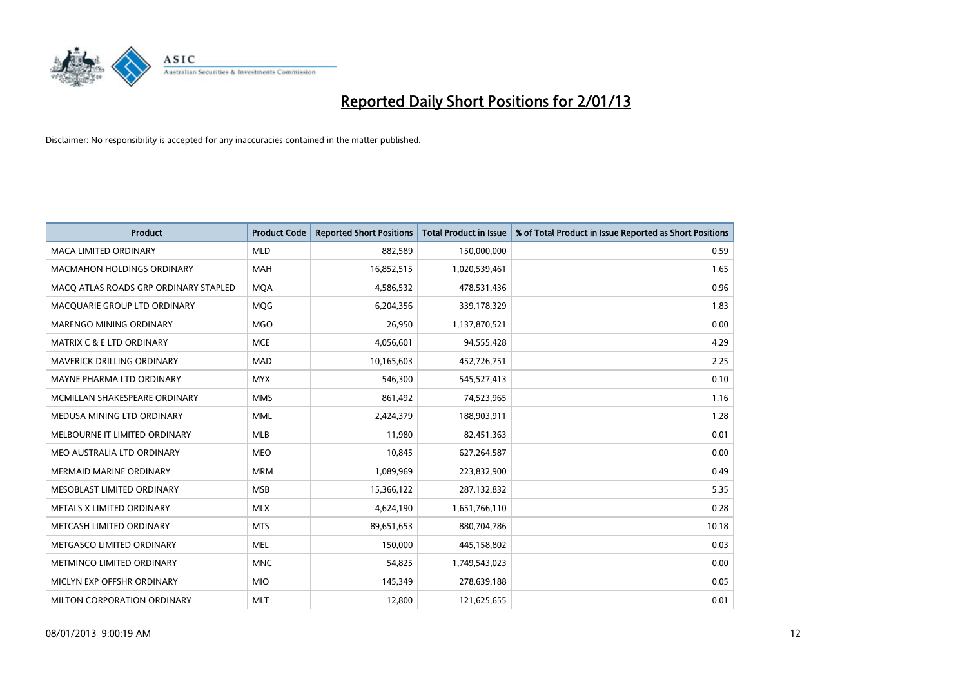

| <b>Product</b>                        | <b>Product Code</b> | <b>Reported Short Positions</b> | <b>Total Product in Issue</b> | % of Total Product in Issue Reported as Short Positions |
|---------------------------------------|---------------------|---------------------------------|-------------------------------|---------------------------------------------------------|
| <b>MACA LIMITED ORDINARY</b>          | <b>MLD</b>          | 882,589                         | 150,000,000                   | 0.59                                                    |
| <b>MACMAHON HOLDINGS ORDINARY</b>     | <b>MAH</b>          | 16,852,515                      | 1,020,539,461                 | 1.65                                                    |
| MACQ ATLAS ROADS GRP ORDINARY STAPLED | <b>MQA</b>          | 4,586,532                       | 478,531,436                   | 0.96                                                    |
| MACQUARIE GROUP LTD ORDINARY          | <b>MOG</b>          | 6,204,356                       | 339,178,329                   | 1.83                                                    |
| <b>MARENGO MINING ORDINARY</b>        | <b>MGO</b>          | 26,950                          | 1,137,870,521                 | 0.00                                                    |
| <b>MATRIX C &amp; E LTD ORDINARY</b>  | <b>MCE</b>          | 4,056,601                       | 94,555,428                    | 4.29                                                    |
| MAVERICK DRILLING ORDINARY            | <b>MAD</b>          | 10,165,603                      | 452,726,751                   | 2.25                                                    |
| MAYNE PHARMA LTD ORDINARY             | <b>MYX</b>          | 546,300                         | 545,527,413                   | 0.10                                                    |
| MCMILLAN SHAKESPEARE ORDINARY         | <b>MMS</b>          | 861,492                         | 74,523,965                    | 1.16                                                    |
| MEDUSA MINING LTD ORDINARY            | <b>MML</b>          | 2,424,379                       | 188,903,911                   | 1.28                                                    |
| MELBOURNE IT LIMITED ORDINARY         | <b>MLB</b>          | 11,980                          | 82,451,363                    | 0.01                                                    |
| MEO AUSTRALIA LTD ORDINARY            | <b>MEO</b>          | 10,845                          | 627,264,587                   | 0.00                                                    |
| <b>MERMAID MARINE ORDINARY</b>        | <b>MRM</b>          | 1,089,969                       | 223,832,900                   | 0.49                                                    |
| MESOBLAST LIMITED ORDINARY            | <b>MSB</b>          | 15,366,122                      | 287,132,832                   | 5.35                                                    |
| METALS X LIMITED ORDINARY             | <b>MLX</b>          | 4,624,190                       | 1,651,766,110                 | 0.28                                                    |
| METCASH LIMITED ORDINARY              | <b>MTS</b>          | 89,651,653                      | 880,704,786                   | 10.18                                                   |
| METGASCO LIMITED ORDINARY             | <b>MEL</b>          | 150,000                         | 445,158,802                   | 0.03                                                    |
| METMINCO LIMITED ORDINARY             | <b>MNC</b>          | 54,825                          | 1,749,543,023                 | 0.00                                                    |
| MICLYN EXP OFFSHR ORDINARY            | <b>MIO</b>          | 145,349                         | 278,639,188                   | 0.05                                                    |
| MILTON CORPORATION ORDINARY           | <b>MLT</b>          | 12,800                          | 121,625,655                   | 0.01                                                    |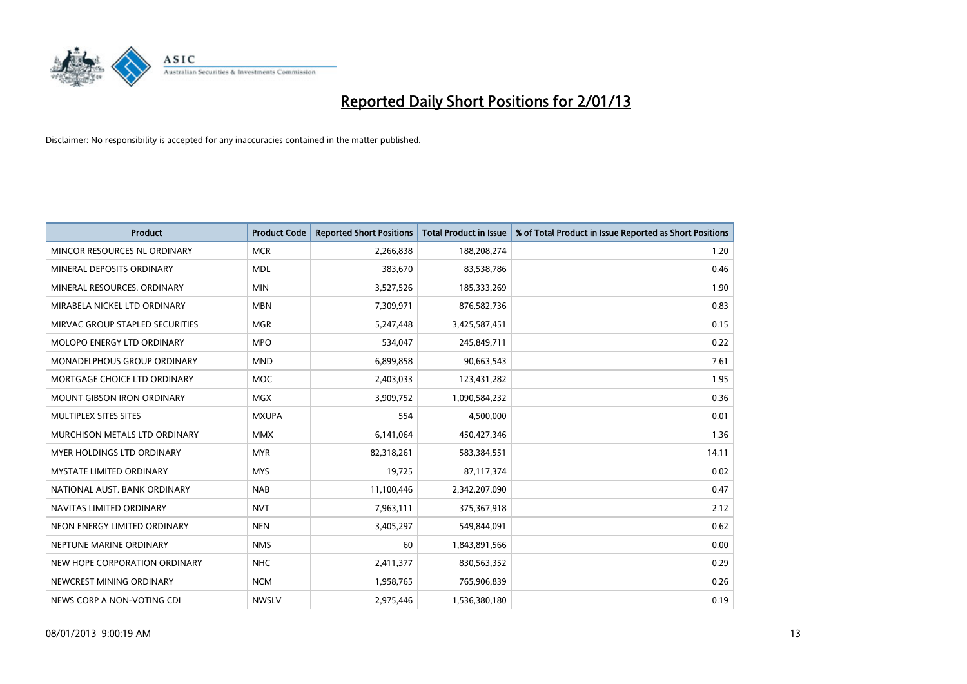

| <b>Product</b>                     | <b>Product Code</b> | <b>Reported Short Positions</b> | <b>Total Product in Issue</b> | % of Total Product in Issue Reported as Short Positions |
|------------------------------------|---------------------|---------------------------------|-------------------------------|---------------------------------------------------------|
| MINCOR RESOURCES NL ORDINARY       | <b>MCR</b>          | 2,266,838                       | 188,208,274                   | 1.20                                                    |
| MINERAL DEPOSITS ORDINARY          | <b>MDL</b>          | 383,670                         | 83,538,786                    | 0.46                                                    |
| MINERAL RESOURCES, ORDINARY        | <b>MIN</b>          | 3,527,526                       | 185,333,269                   | 1.90                                                    |
| MIRABELA NICKEL LTD ORDINARY       | <b>MBN</b>          | 7,309,971                       | 876,582,736                   | 0.83                                                    |
| MIRVAC GROUP STAPLED SECURITIES    | <b>MGR</b>          | 5,247,448                       | 3,425,587,451                 | 0.15                                                    |
| MOLOPO ENERGY LTD ORDINARY         | <b>MPO</b>          | 534,047                         | 245,849,711                   | 0.22                                                    |
| <b>MONADELPHOUS GROUP ORDINARY</b> | <b>MND</b>          | 6,899,858                       | 90,663,543                    | 7.61                                                    |
| MORTGAGE CHOICE LTD ORDINARY       | <b>MOC</b>          | 2,403,033                       | 123,431,282                   | 1.95                                                    |
| <b>MOUNT GIBSON IRON ORDINARY</b>  | <b>MGX</b>          | 3,909,752                       | 1,090,584,232                 | 0.36                                                    |
| MULTIPLEX SITES SITES              | <b>MXUPA</b>        | 554                             | 4,500,000                     | 0.01                                                    |
| MURCHISON METALS LTD ORDINARY      | <b>MMX</b>          | 6,141,064                       | 450,427,346                   | 1.36                                                    |
| <b>MYER HOLDINGS LTD ORDINARY</b>  | <b>MYR</b>          | 82,318,261                      | 583,384,551                   | 14.11                                                   |
| MYSTATE LIMITED ORDINARY           | <b>MYS</b>          | 19,725                          | 87,117,374                    | 0.02                                                    |
| NATIONAL AUST, BANK ORDINARY       | <b>NAB</b>          | 11,100,446                      | 2,342,207,090                 | 0.47                                                    |
| NAVITAS LIMITED ORDINARY           | <b>NVT</b>          | 7,963,111                       | 375,367,918                   | 2.12                                                    |
| NEON ENERGY LIMITED ORDINARY       | <b>NEN</b>          | 3,405,297                       | 549,844,091                   | 0.62                                                    |
| NEPTUNE MARINE ORDINARY            | <b>NMS</b>          | 60                              | 1,843,891,566                 | 0.00                                                    |
| NEW HOPE CORPORATION ORDINARY      | <b>NHC</b>          | 2,411,377                       | 830,563,352                   | 0.29                                                    |
| NEWCREST MINING ORDINARY           | <b>NCM</b>          | 1,958,765                       | 765,906,839                   | 0.26                                                    |
| NEWS CORP A NON-VOTING CDI         | <b>NWSLV</b>        | 2,975,446                       | 1,536,380,180                 | 0.19                                                    |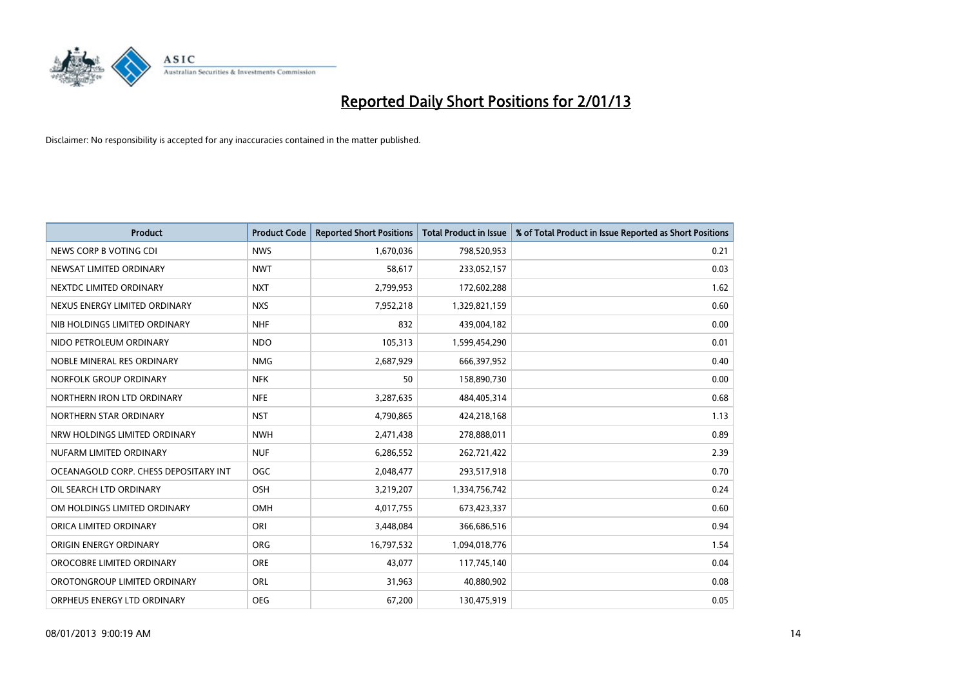

| <b>Product</b>                        | <b>Product Code</b> | <b>Reported Short Positions</b> | <b>Total Product in Issue</b> | % of Total Product in Issue Reported as Short Positions |
|---------------------------------------|---------------------|---------------------------------|-------------------------------|---------------------------------------------------------|
| NEWS CORP B VOTING CDI                | <b>NWS</b>          | 1,670,036                       | 798,520,953                   | 0.21                                                    |
| NEWSAT LIMITED ORDINARY               | <b>NWT</b>          | 58,617                          | 233,052,157                   | 0.03                                                    |
| NEXTDC LIMITED ORDINARY               | <b>NXT</b>          | 2,799,953                       | 172,602,288                   | 1.62                                                    |
| NEXUS ENERGY LIMITED ORDINARY         | <b>NXS</b>          | 7,952,218                       | 1,329,821,159                 | 0.60                                                    |
| NIB HOLDINGS LIMITED ORDINARY         | <b>NHF</b>          | 832                             | 439,004,182                   | 0.00                                                    |
| NIDO PETROLEUM ORDINARY               | <b>NDO</b>          | 105,313                         | 1,599,454,290                 | 0.01                                                    |
| NOBLE MINERAL RES ORDINARY            | <b>NMG</b>          | 2,687,929                       | 666,397,952                   | 0.40                                                    |
| NORFOLK GROUP ORDINARY                | <b>NFK</b>          | 50                              | 158,890,730                   | 0.00                                                    |
| NORTHERN IRON LTD ORDINARY            | <b>NFE</b>          | 3,287,635                       | 484,405,314                   | 0.68                                                    |
| NORTHERN STAR ORDINARY                | <b>NST</b>          | 4,790,865                       | 424,218,168                   | 1.13                                                    |
| NRW HOLDINGS LIMITED ORDINARY         | <b>NWH</b>          | 2,471,438                       | 278,888,011                   | 0.89                                                    |
| NUFARM LIMITED ORDINARY               | <b>NUF</b>          | 6,286,552                       | 262,721,422                   | 2.39                                                    |
| OCEANAGOLD CORP. CHESS DEPOSITARY INT | <b>OGC</b>          | 2,048,477                       | 293,517,918                   | 0.70                                                    |
| OIL SEARCH LTD ORDINARY               | OSH                 | 3,219,207                       | 1,334,756,742                 | 0.24                                                    |
| OM HOLDINGS LIMITED ORDINARY          | OMH                 | 4,017,755                       | 673,423,337                   | 0.60                                                    |
| ORICA LIMITED ORDINARY                | ORI                 | 3,448,084                       | 366,686,516                   | 0.94                                                    |
| ORIGIN ENERGY ORDINARY                | <b>ORG</b>          | 16,797,532                      | 1,094,018,776                 | 1.54                                                    |
| OROCOBRE LIMITED ORDINARY             | <b>ORE</b>          | 43,077                          | 117,745,140                   | 0.04                                                    |
| OROTONGROUP LIMITED ORDINARY          | ORL                 | 31,963                          | 40,880,902                    | 0.08                                                    |
| ORPHEUS ENERGY LTD ORDINARY           | <b>OEG</b>          | 67,200                          | 130,475,919                   | 0.05                                                    |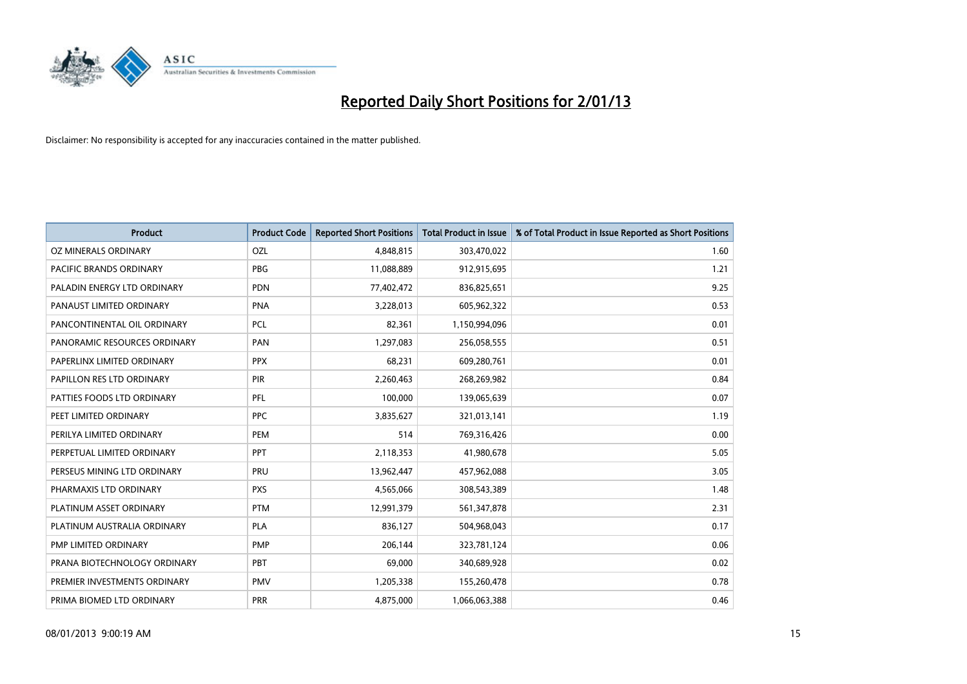

| <b>Product</b>               | <b>Product Code</b> | <b>Reported Short Positions</b> | <b>Total Product in Issue</b> | % of Total Product in Issue Reported as Short Positions |
|------------------------------|---------------------|---------------------------------|-------------------------------|---------------------------------------------------------|
| OZ MINERALS ORDINARY         | OZL                 | 4,848,815                       | 303,470,022                   | 1.60                                                    |
| PACIFIC BRANDS ORDINARY      | <b>PBG</b>          | 11,088,889                      | 912,915,695                   | 1.21                                                    |
| PALADIN ENERGY LTD ORDINARY  | <b>PDN</b>          | 77,402,472                      | 836,825,651                   | 9.25                                                    |
| PANAUST LIMITED ORDINARY     | <b>PNA</b>          | 3,228,013                       | 605,962,322                   | 0.53                                                    |
| PANCONTINENTAL OIL ORDINARY  | <b>PCL</b>          | 82,361                          | 1,150,994,096                 | 0.01                                                    |
| PANORAMIC RESOURCES ORDINARY | PAN                 | 1,297,083                       | 256,058,555                   | 0.51                                                    |
| PAPERLINX LIMITED ORDINARY   | <b>PPX</b>          | 68,231                          | 609,280,761                   | 0.01                                                    |
| PAPILLON RES LTD ORDINARY    | PIR                 | 2,260,463                       | 268,269,982                   | 0.84                                                    |
| PATTIES FOODS LTD ORDINARY   | PFL                 | 100.000                         | 139,065,639                   | 0.07                                                    |
| PEET LIMITED ORDINARY        | <b>PPC</b>          | 3,835,627                       | 321,013,141                   | 1.19                                                    |
| PERILYA LIMITED ORDINARY     | PEM                 | 514                             | 769,316,426                   | 0.00                                                    |
| PERPETUAL LIMITED ORDINARY   | PPT                 | 2,118,353                       | 41,980,678                    | 5.05                                                    |
| PERSEUS MINING LTD ORDINARY  | PRU                 | 13,962,447                      | 457,962,088                   | 3.05                                                    |
| PHARMAXIS LTD ORDINARY       | <b>PXS</b>          | 4,565,066                       | 308,543,389                   | 1.48                                                    |
| PLATINUM ASSET ORDINARY      | <b>PTM</b>          | 12,991,379                      | 561,347,878                   | 2.31                                                    |
| PLATINUM AUSTRALIA ORDINARY  | <b>PLA</b>          | 836,127                         | 504,968,043                   | 0.17                                                    |
| PMP LIMITED ORDINARY         | <b>PMP</b>          | 206,144                         | 323,781,124                   | 0.06                                                    |
| PRANA BIOTECHNOLOGY ORDINARY | PBT                 | 69,000                          | 340,689,928                   | 0.02                                                    |
| PREMIER INVESTMENTS ORDINARY | <b>PMV</b>          | 1,205,338                       | 155,260,478                   | 0.78                                                    |
| PRIMA BIOMED LTD ORDINARY    | <b>PRR</b>          | 4,875,000                       | 1,066,063,388                 | 0.46                                                    |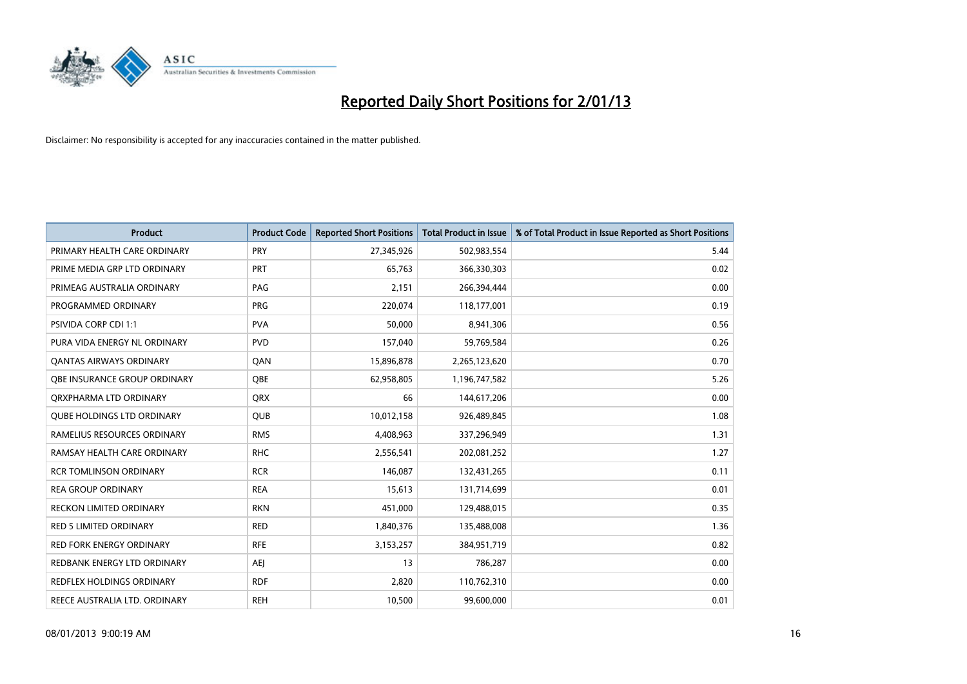

| <b>Product</b>                      | <b>Product Code</b> | <b>Reported Short Positions</b> | <b>Total Product in Issue</b> | % of Total Product in Issue Reported as Short Positions |
|-------------------------------------|---------------------|---------------------------------|-------------------------------|---------------------------------------------------------|
| PRIMARY HEALTH CARE ORDINARY        | <b>PRY</b>          | 27,345,926                      | 502,983,554                   | 5.44                                                    |
| PRIME MEDIA GRP LTD ORDINARY        | <b>PRT</b>          | 65,763                          | 366,330,303                   | 0.02                                                    |
| PRIMEAG AUSTRALIA ORDINARY          | PAG                 | 2,151                           | 266,394,444                   | 0.00                                                    |
| PROGRAMMED ORDINARY                 | <b>PRG</b>          | 220,074                         | 118,177,001                   | 0.19                                                    |
| <b>PSIVIDA CORP CDI 1:1</b>         | <b>PVA</b>          | 50,000                          | 8,941,306                     | 0.56                                                    |
| PURA VIDA ENERGY NL ORDINARY        | <b>PVD</b>          | 157,040                         | 59,769,584                    | 0.26                                                    |
| <b>QANTAS AIRWAYS ORDINARY</b>      | QAN                 | 15,896,878                      | 2,265,123,620                 | 0.70                                                    |
| <b>OBE INSURANCE GROUP ORDINARY</b> | OBE                 | 62,958,805                      | 1,196,747,582                 | 5.26                                                    |
| ORXPHARMA LTD ORDINARY              | <b>ORX</b>          | 66                              | 144,617,206                   | 0.00                                                    |
| <b>QUBE HOLDINGS LTD ORDINARY</b>   | <b>QUB</b>          | 10,012,158                      | 926,489,845                   | 1.08                                                    |
| RAMELIUS RESOURCES ORDINARY         | <b>RMS</b>          | 4,408,963                       | 337,296,949                   | 1.31                                                    |
| RAMSAY HEALTH CARE ORDINARY         | <b>RHC</b>          | 2,556,541                       | 202,081,252                   | 1.27                                                    |
| <b>RCR TOMLINSON ORDINARY</b>       | <b>RCR</b>          | 146,087                         | 132,431,265                   | 0.11                                                    |
| <b>REA GROUP ORDINARY</b>           | <b>REA</b>          | 15,613                          | 131,714,699                   | 0.01                                                    |
| <b>RECKON LIMITED ORDINARY</b>      | <b>RKN</b>          | 451,000                         | 129,488,015                   | 0.35                                                    |
| RED 5 LIMITED ORDINARY              | <b>RED</b>          | 1,840,376                       | 135,488,008                   | 1.36                                                    |
| RED FORK ENERGY ORDINARY            | <b>RFE</b>          | 3,153,257                       | 384,951,719                   | 0.82                                                    |
| REDBANK ENERGY LTD ORDINARY         | AEJ                 | 13                              | 786,287                       | 0.00                                                    |
| <b>REDFLEX HOLDINGS ORDINARY</b>    | <b>RDF</b>          | 2,820                           | 110,762,310                   | 0.00                                                    |
| REECE AUSTRALIA LTD. ORDINARY       | <b>REH</b>          | 10,500                          | 99,600,000                    | 0.01                                                    |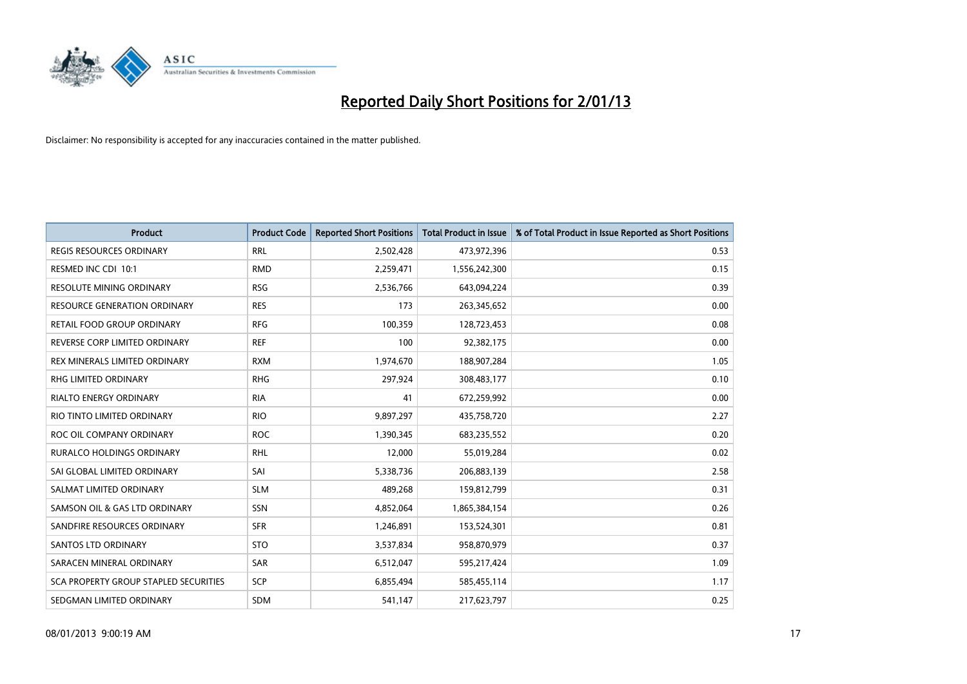

| <b>Product</b>                        | <b>Product Code</b> | <b>Reported Short Positions</b> | <b>Total Product in Issue</b> | % of Total Product in Issue Reported as Short Positions |
|---------------------------------------|---------------------|---------------------------------|-------------------------------|---------------------------------------------------------|
| <b>REGIS RESOURCES ORDINARY</b>       | <b>RRL</b>          | 2,502,428                       | 473,972,396                   | 0.53                                                    |
| RESMED INC CDI 10:1                   | <b>RMD</b>          | 2,259,471                       | 1,556,242,300                 | 0.15                                                    |
| <b>RESOLUTE MINING ORDINARY</b>       | <b>RSG</b>          | 2,536,766                       | 643,094,224                   | 0.39                                                    |
| RESOURCE GENERATION ORDINARY          | <b>RES</b>          | 173                             | 263,345,652                   | 0.00                                                    |
| RETAIL FOOD GROUP ORDINARY            | <b>RFG</b>          | 100,359                         | 128,723,453                   | 0.08                                                    |
| REVERSE CORP LIMITED ORDINARY         | <b>REF</b>          | 100                             | 92,382,175                    | 0.00                                                    |
| REX MINERALS LIMITED ORDINARY         | <b>RXM</b>          | 1,974,670                       | 188,907,284                   | 1.05                                                    |
| RHG LIMITED ORDINARY                  | <b>RHG</b>          | 297,924                         | 308,483,177                   | 0.10                                                    |
| <b>RIALTO ENERGY ORDINARY</b>         | <b>RIA</b>          | 41                              | 672,259,992                   | 0.00                                                    |
| RIO TINTO LIMITED ORDINARY            | <b>RIO</b>          | 9,897,297                       | 435,758,720                   | 2.27                                                    |
| ROC OIL COMPANY ORDINARY              | <b>ROC</b>          | 1,390,345                       | 683,235,552                   | 0.20                                                    |
| <b>RURALCO HOLDINGS ORDINARY</b>      | <b>RHL</b>          | 12,000                          | 55,019,284                    | 0.02                                                    |
| SAI GLOBAL LIMITED ORDINARY           | SAI                 | 5,338,736                       | 206,883,139                   | 2.58                                                    |
| SALMAT LIMITED ORDINARY               | <b>SLM</b>          | 489,268                         | 159,812,799                   | 0.31                                                    |
| SAMSON OIL & GAS LTD ORDINARY         | SSN                 | 4,852,064                       | 1,865,384,154                 | 0.26                                                    |
| SANDFIRE RESOURCES ORDINARY           | <b>SFR</b>          | 1,246,891                       | 153,524,301                   | 0.81                                                    |
| <b>SANTOS LTD ORDINARY</b>            | <b>STO</b>          | 3,537,834                       | 958,870,979                   | 0.37                                                    |
| SARACEN MINERAL ORDINARY              | SAR                 | 6,512,047                       | 595,217,424                   | 1.09                                                    |
| SCA PROPERTY GROUP STAPLED SECURITIES | <b>SCP</b>          | 6,855,494                       | 585,455,114                   | 1.17                                                    |
| SEDGMAN LIMITED ORDINARY              | <b>SDM</b>          | 541,147                         | 217,623,797                   | 0.25                                                    |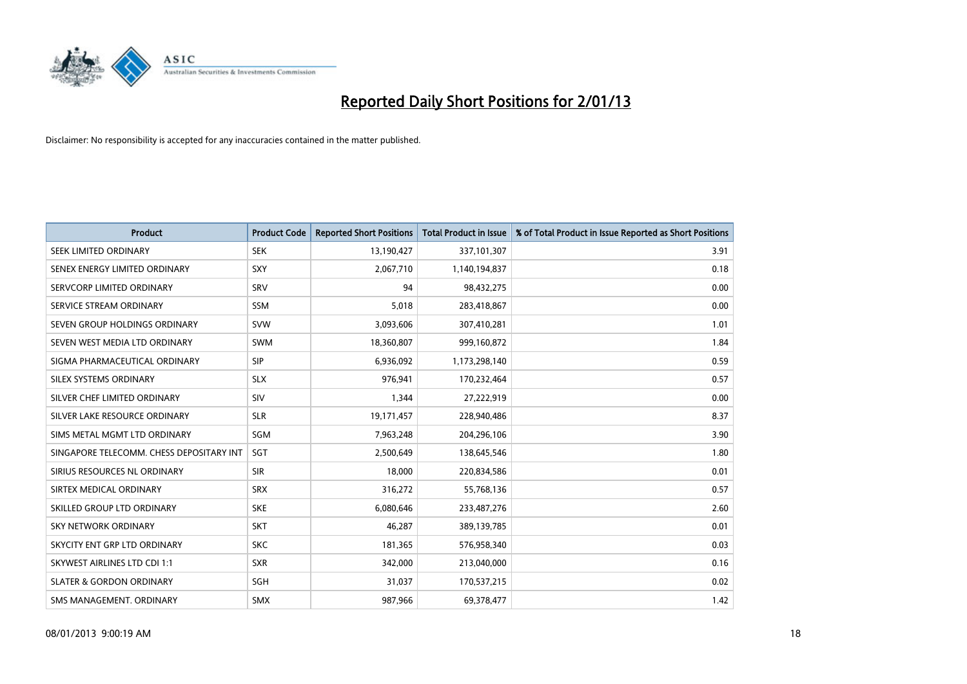

| <b>Product</b>                           | <b>Product Code</b> | <b>Reported Short Positions</b> | <b>Total Product in Issue</b> | % of Total Product in Issue Reported as Short Positions |
|------------------------------------------|---------------------|---------------------------------|-------------------------------|---------------------------------------------------------|
| SEEK LIMITED ORDINARY                    | <b>SEK</b>          | 13,190,427                      | 337,101,307                   | 3.91                                                    |
| SENEX ENERGY LIMITED ORDINARY            | SXY                 | 2,067,710                       | 1,140,194,837                 | 0.18                                                    |
| SERVCORP LIMITED ORDINARY                | SRV                 | 94                              | 98,432,275                    | 0.00                                                    |
| SERVICE STREAM ORDINARY                  | <b>SSM</b>          | 5,018                           | 283,418,867                   | 0.00                                                    |
| SEVEN GROUP HOLDINGS ORDINARY            | <b>SVW</b>          | 3,093,606                       | 307,410,281                   | 1.01                                                    |
| SEVEN WEST MEDIA LTD ORDINARY            | <b>SWM</b>          | 18,360,807                      | 999,160,872                   | 1.84                                                    |
| SIGMA PHARMACEUTICAL ORDINARY            | <b>SIP</b>          | 6,936,092                       | 1,173,298,140                 | 0.59                                                    |
| SILEX SYSTEMS ORDINARY                   | <b>SLX</b>          | 976,941                         | 170,232,464                   | 0.57                                                    |
| SILVER CHEF LIMITED ORDINARY             | SIV                 | 1,344                           | 27,222,919                    | 0.00                                                    |
| SILVER LAKE RESOURCE ORDINARY            | <b>SLR</b>          | 19,171,457                      | 228,940,486                   | 8.37                                                    |
| SIMS METAL MGMT LTD ORDINARY             | SGM                 | 7,963,248                       | 204,296,106                   | 3.90                                                    |
| SINGAPORE TELECOMM. CHESS DEPOSITARY INT | SGT                 | 2,500,649                       | 138,645,546                   | 1.80                                                    |
| SIRIUS RESOURCES NL ORDINARY             | <b>SIR</b>          | 18,000                          | 220,834,586                   | 0.01                                                    |
| SIRTEX MEDICAL ORDINARY                  | <b>SRX</b>          | 316,272                         | 55,768,136                    | 0.57                                                    |
| SKILLED GROUP LTD ORDINARY               | <b>SKE</b>          | 6,080,646                       | 233,487,276                   | 2.60                                                    |
| SKY NETWORK ORDINARY                     | <b>SKT</b>          | 46,287                          | 389,139,785                   | 0.01                                                    |
| SKYCITY ENT GRP LTD ORDINARY             | <b>SKC</b>          | 181,365                         | 576,958,340                   | 0.03                                                    |
| <b>SKYWEST AIRLINES LTD CDI 1:1</b>      | <b>SXR</b>          | 342,000                         | 213,040,000                   | 0.16                                                    |
| <b>SLATER &amp; GORDON ORDINARY</b>      | <b>SGH</b>          | 31,037                          | 170,537,215                   | 0.02                                                    |
| SMS MANAGEMENT, ORDINARY                 | <b>SMX</b>          | 987,966                         | 69,378,477                    | 1.42                                                    |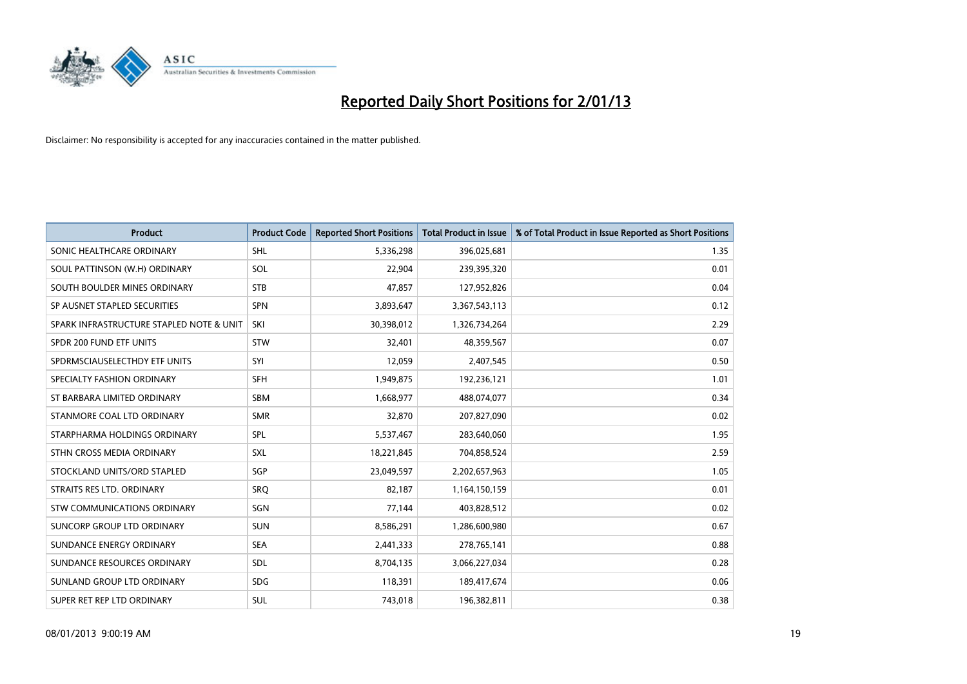

| <b>Product</b>                           | <b>Product Code</b> | <b>Reported Short Positions</b> | <b>Total Product in Issue</b> | % of Total Product in Issue Reported as Short Positions |
|------------------------------------------|---------------------|---------------------------------|-------------------------------|---------------------------------------------------------|
| SONIC HEALTHCARE ORDINARY                | <b>SHL</b>          | 5,336,298                       | 396,025,681                   | 1.35                                                    |
| SOUL PATTINSON (W.H) ORDINARY            | SOL                 | 22,904                          | 239,395,320                   | 0.01                                                    |
| SOUTH BOULDER MINES ORDINARY             | <b>STB</b>          | 47,857                          | 127,952,826                   | 0.04                                                    |
| SP AUSNET STAPLED SECURITIES             | <b>SPN</b>          | 3,893,647                       | 3,367,543,113                 | 0.12                                                    |
| SPARK INFRASTRUCTURE STAPLED NOTE & UNIT | SKI                 | 30,398,012                      | 1,326,734,264                 | 2.29                                                    |
| SPDR 200 FUND ETF UNITS                  | <b>STW</b>          | 32,401                          | 48,359,567                    | 0.07                                                    |
| SPDRMSCIAUSELECTHDY ETF UNITS            | SYI                 | 12,059                          | 2,407,545                     | 0.50                                                    |
| SPECIALTY FASHION ORDINARY               | <b>SFH</b>          | 1,949,875                       | 192,236,121                   | 1.01                                                    |
| ST BARBARA LIMITED ORDINARY              | <b>SBM</b>          | 1,668,977                       | 488,074,077                   | 0.34                                                    |
| STANMORE COAL LTD ORDINARY               | <b>SMR</b>          | 32,870                          | 207,827,090                   | 0.02                                                    |
| STARPHARMA HOLDINGS ORDINARY             | SPL                 | 5,537,467                       | 283,640,060                   | 1.95                                                    |
| STHN CROSS MEDIA ORDINARY                | <b>SXL</b>          | 18,221,845                      | 704,858,524                   | 2.59                                                    |
| STOCKLAND UNITS/ORD STAPLED              | SGP                 | 23,049,597                      | 2,202,657,963                 | 1.05                                                    |
| STRAITS RES LTD. ORDINARY                | SRO                 | 82,187                          | 1,164,150,159                 | 0.01                                                    |
| <b>STW COMMUNICATIONS ORDINARY</b>       | SGN                 | 77,144                          | 403,828,512                   | 0.02                                                    |
| SUNCORP GROUP LTD ORDINARY               | <b>SUN</b>          | 8,586,291                       | 1,286,600,980                 | 0.67                                                    |
| SUNDANCE ENERGY ORDINARY                 | <b>SEA</b>          | 2,441,333                       | 278,765,141                   | 0.88                                                    |
| SUNDANCE RESOURCES ORDINARY              | <b>SDL</b>          | 8,704,135                       | 3,066,227,034                 | 0.28                                                    |
| SUNLAND GROUP LTD ORDINARY               | <b>SDG</b>          | 118,391                         | 189,417,674                   | 0.06                                                    |
| SUPER RET REP LTD ORDINARY               | <b>SUL</b>          | 743,018                         | 196,382,811                   | 0.38                                                    |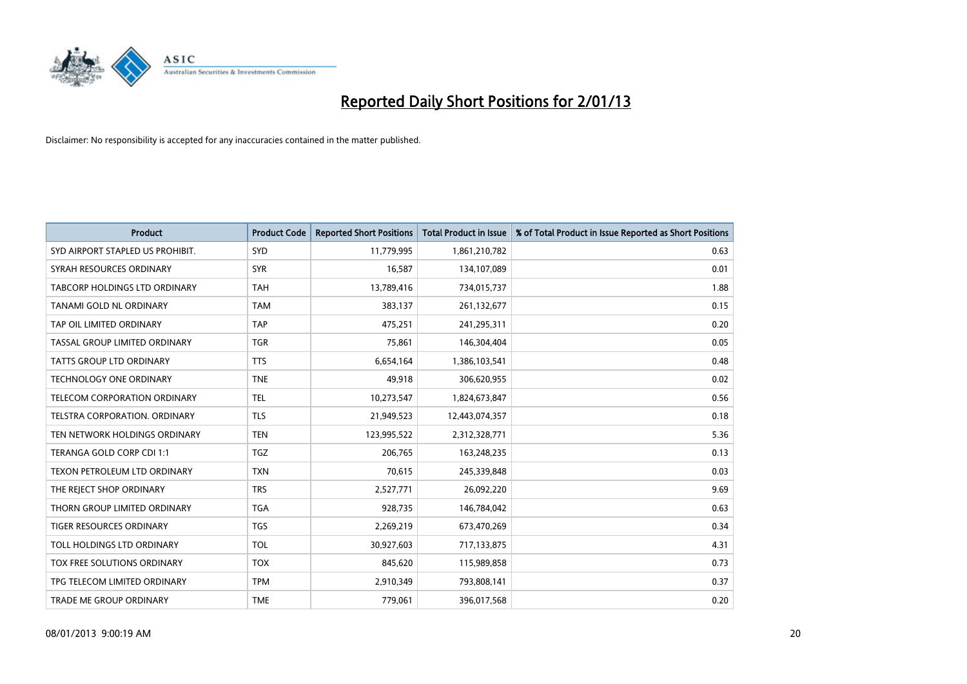

| <b>Product</b>                   | <b>Product Code</b> | <b>Reported Short Positions</b> | <b>Total Product in Issue</b> | % of Total Product in Issue Reported as Short Positions |
|----------------------------------|---------------------|---------------------------------|-------------------------------|---------------------------------------------------------|
| SYD AIRPORT STAPLED US PROHIBIT. | <b>SYD</b>          | 11,779,995                      | 1,861,210,782                 | 0.63                                                    |
| SYRAH RESOURCES ORDINARY         | <b>SYR</b>          | 16,587                          | 134,107,089                   | 0.01                                                    |
| TABCORP HOLDINGS LTD ORDINARY    | <b>TAH</b>          | 13,789,416                      | 734,015,737                   | 1.88                                                    |
| TANAMI GOLD NL ORDINARY          | <b>TAM</b>          | 383,137                         | 261,132,677                   | 0.15                                                    |
| TAP OIL LIMITED ORDINARY         | <b>TAP</b>          | 475,251                         | 241,295,311                   | 0.20                                                    |
| TASSAL GROUP LIMITED ORDINARY    | <b>TGR</b>          | 75,861                          | 146,304,404                   | 0.05                                                    |
| TATTS GROUP LTD ORDINARY         | <b>TTS</b>          | 6,654,164                       | 1,386,103,541                 | 0.48                                                    |
| TECHNOLOGY ONE ORDINARY          | <b>TNE</b>          | 49,918                          | 306,620,955                   | 0.02                                                    |
| TELECOM CORPORATION ORDINARY     | <b>TEL</b>          | 10,273,547                      | 1,824,673,847                 | 0.56                                                    |
| TELSTRA CORPORATION, ORDINARY    | <b>TLS</b>          | 21,949,523                      | 12,443,074,357                | 0.18                                                    |
| TEN NETWORK HOLDINGS ORDINARY    | <b>TEN</b>          | 123,995,522                     | 2,312,328,771                 | 5.36                                                    |
| TERANGA GOLD CORP CDI 1:1        | <b>TGZ</b>          | 206,765                         | 163,248,235                   | 0.13                                                    |
| TEXON PETROLEUM LTD ORDINARY     | <b>TXN</b>          | 70,615                          | 245,339,848                   | 0.03                                                    |
| THE REJECT SHOP ORDINARY         | <b>TRS</b>          | 2,527,771                       | 26,092,220                    | 9.69                                                    |
| THORN GROUP LIMITED ORDINARY     | <b>TGA</b>          | 928,735                         | 146,784,042                   | 0.63                                                    |
| TIGER RESOURCES ORDINARY         | <b>TGS</b>          | 2,269,219                       | 673,470,269                   | 0.34                                                    |
| TOLL HOLDINGS LTD ORDINARY       | <b>TOL</b>          | 30,927,603                      | 717,133,875                   | 4.31                                                    |
| TOX FREE SOLUTIONS ORDINARY      | <b>TOX</b>          | 845,620                         | 115,989,858                   | 0.73                                                    |
| TPG TELECOM LIMITED ORDINARY     | <b>TPM</b>          | 2,910,349                       | 793,808,141                   | 0.37                                                    |
| TRADE ME GROUP ORDINARY          | <b>TME</b>          | 779,061                         | 396,017,568                   | 0.20                                                    |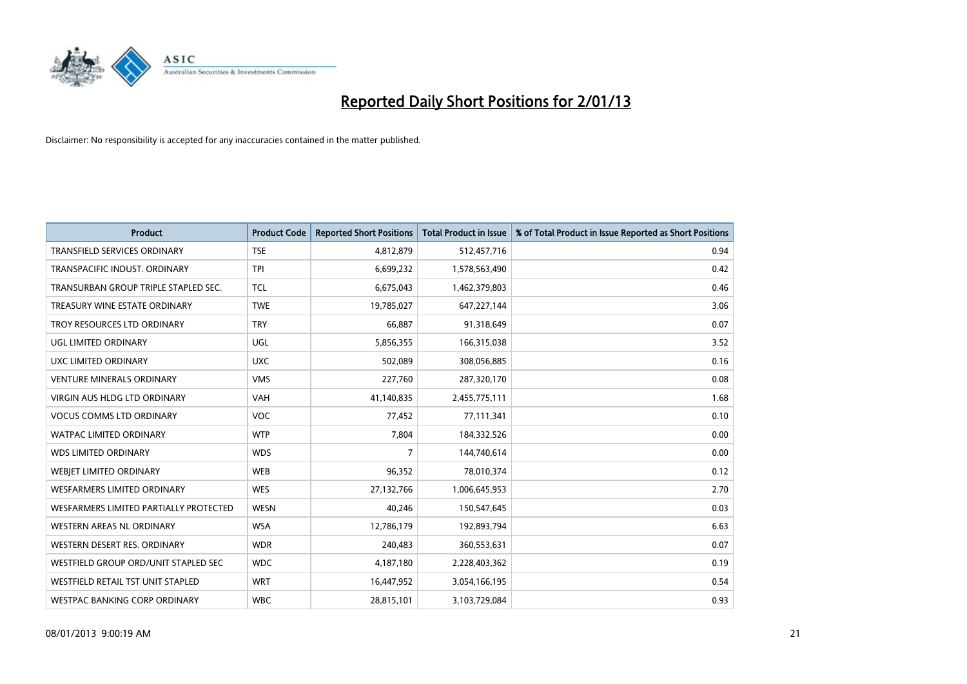

| <b>Product</b>                           | <b>Product Code</b> | <b>Reported Short Positions</b> | <b>Total Product in Issue</b> | % of Total Product in Issue Reported as Short Positions |
|------------------------------------------|---------------------|---------------------------------|-------------------------------|---------------------------------------------------------|
| <b>TRANSFIELD SERVICES ORDINARY</b>      | <b>TSE</b>          | 4,812,879                       | 512,457,716                   | 0.94                                                    |
| <b>TRANSPACIFIC INDUST, ORDINARY</b>     | <b>TPI</b>          | 6,699,232                       | 1,578,563,490                 | 0.42                                                    |
| TRANSURBAN GROUP TRIPLE STAPLED SEC.     | <b>TCL</b>          | 6,675,043                       | 1,462,379,803                 | 0.46                                                    |
| TREASURY WINE ESTATE ORDINARY            | <b>TWE</b>          | 19,785,027                      | 647,227,144                   | 3.06                                                    |
| TROY RESOURCES LTD ORDINARY              | <b>TRY</b>          | 66.887                          | 91,318,649                    | 0.07                                                    |
| UGL LIMITED ORDINARY                     | <b>UGL</b>          | 5,856,355                       | 166,315,038                   | 3.52                                                    |
| UXC LIMITED ORDINARY                     | <b>UXC</b>          | 502.089                         | 308,056,885                   | 0.16                                                    |
| <b>VENTURE MINERALS ORDINARY</b>         | <b>VMS</b>          | 227,760                         | 287,320,170                   | 0.08                                                    |
| VIRGIN AUS HLDG LTD ORDINARY             | <b>VAH</b>          | 41,140,835                      | 2,455,775,111                 | 1.68                                                    |
| <b>VOCUS COMMS LTD ORDINARY</b>          | <b>VOC</b>          | 77,452                          | 77,111,341                    | 0.10                                                    |
| <b>WATPAC LIMITED ORDINARY</b>           | <b>WTP</b>          | 7,804                           | 184,332,526                   | 0.00                                                    |
| <b>WDS LIMITED ORDINARY</b>              | <b>WDS</b>          | 7                               | 144,740,614                   | 0.00                                                    |
| WEBIET LIMITED ORDINARY                  | <b>WEB</b>          | 96,352                          | 78,010,374                    | 0.12                                                    |
| <b>WESFARMERS LIMITED ORDINARY</b>       | <b>WES</b>          | 27,132,766                      | 1,006,645,953                 | 2.70                                                    |
| WESFARMERS LIMITED PARTIALLY PROTECTED   | <b>WESN</b>         | 40,246                          | 150,547,645                   | 0.03                                                    |
| WESTERN AREAS NL ORDINARY                | <b>WSA</b>          | 12,786,179                      | 192,893,794                   | 6.63                                                    |
| WESTERN DESERT RES. ORDINARY             | <b>WDR</b>          | 240,483                         | 360,553,631                   | 0.07                                                    |
| WESTFIELD GROUP ORD/UNIT STAPLED SEC     | <b>WDC</b>          | 4,187,180                       | 2,228,403,362                 | 0.19                                                    |
| <b>WESTFIELD RETAIL TST UNIT STAPLED</b> | <b>WRT</b>          | 16,447,952                      | 3,054,166,195                 | 0.54                                                    |
| WESTPAC BANKING CORP ORDINARY            | <b>WBC</b>          | 28,815,101                      | 3,103,729,084                 | 0.93                                                    |